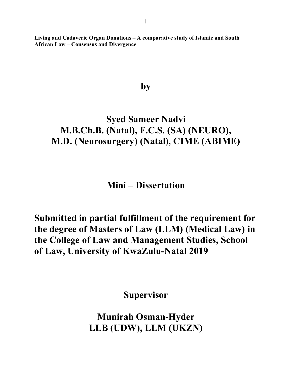**Living and Cadaveric Organ Donations – A comparative study of Islamic and South African Law – Consensus and Divergence**

## **by**

# **Syed Sameer Nadvi M.B.Ch.B. (Natal), F.C.S. (SA) (NEURO), M.D. (Neurosurgery) (Natal), CIME (ABIME)**

**Mini – Dissertation**

**Submitted in partial fulfillment of the requirement for the degree of Masters of Law (LLM) (Medical Law) in the College of Law and Management Studies, School of Law, University of KwaZulu-Natal 2019**

**Supervisor**

**Munirah Osman-Hyder LLB (UDW), LLM (UKZN)**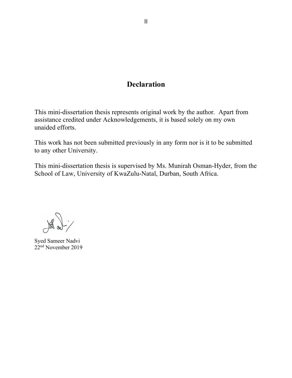## **Declaration**

This mini-dissertation thesis represents original work by the author. Apart from assistance credited under Acknowledgements, it is based solely on my own unaided efforts.

This work has not been submitted previously in any form nor is it to be submitted to any other University.

This mini-dissertation thesis is supervised by Ms. Munirah Osman-Hyder, from the School of Law, University of KwaZulu-Natal, Durban, South Africa.

Syed Sameer Nadvi 22nd November 2019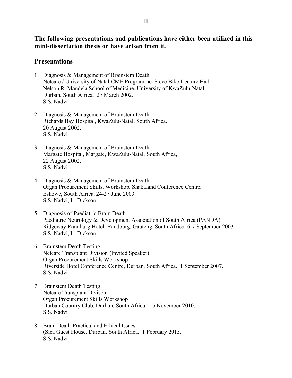**The following presentations and publications have either been utilized in this mini-dissertation thesis or have arisen from it.**

## **Presentations**

- 1. Diagnosis & Management of Brainstem Death Netcare / University of Natal CME Programme. Steve Biko Lecture Hall Nelson R. Mandela School of Medicine, University of KwaZulu-Natal, Durban, South Africa. 27 March 2002. S.S. Nadvi
- 2. Diagnosis & Management of Brainstem Death Richards Bay Hospital, KwaZulu-Natal, South Africa. 20 August 2002. S,S, Nadvi
- 3. Diagnosis & Management of Brainstem Death Margate Hospital, Margate, KwaZulu-Natal, South Africa, 22 August 2002. S.S. Nadvi
- 4. Diagnosis & Management of Brainstem Death Organ Procurement Skills, Workshop, Shakaland Conference Centre, Eshowe, South Africa. 24-27 June 2003. S.S. Nadvi, L. Dickson
- 5. Diagnosis of Paediatric Brain Death Paediatric Neurology & Development Association of South Africa (PANDA) Ridgeway Randburg Hotel, Randburg, Gauteng, South Africa. 6-7 September 2003. S.S. Nadvi, L. Dickson
- 6. Brainstem Death Testing Netcare Transplant Division (Invited Speaker) Organ Procurement Skills Workshop Riverside Hotel Conference Centre, Durban, South Africa. 1 September 2007. S.S. Nadvi
- 7. Brainstem Death Testing Netcare Transplant Divison Organ Procurement Skills Workshop Durban Country Club, Durban, South Africa. 15 November 2010. S.S. Nadvi
- 8. Brain Death-Practical and Ethical Issues (Sica Guest House, Durban, South Africa. 1 February 2015. S.S. Nadvi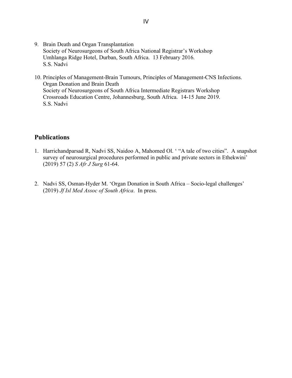- 9. Brain Death and Organ Transplantation Society of Neurosurgeons of South Africa National Registrar's Workshop Umhlanga Ridge Hotel, Durban, South Africa. 13 February 2016. S.S. Nadvi
- 10. Principles of Management-Brain Tumours, Principles of Management-CNS Infections. Organ Donation and Brain Death Society of Neurosurgeons of South Africa Intermediate Registrars Workshop Crossroads Education Centre, Johannesburg, South Africa. 14-15 June 2019. S.S. Nadvi

## **Publications**

- 1. Harrichandparsad R, Nadvi SS, Naidoo A, Mahomed Ol. ' "A tale of two cities". A snapshot survey of neurosurgical procedures performed in public and private sectors in Ethekwini' (2019) 57 (2) *S Afr J Surg* 61-64.
- 2. Nadvi SS, Osman-Hyder M. 'Organ Donation in South Africa Socio-legal challenges' (2019) *Jf Isl Med Assoc of South Africa*. In press.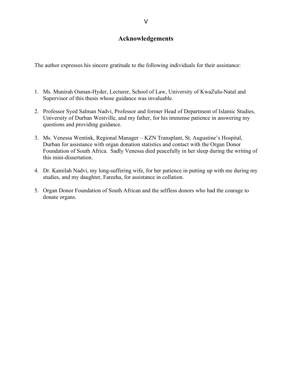## **Acknowledgements**

The author expresses his sincere gratitude to the following individuals for their assistance:

- 1. Ms. Munirah Osman-Hyder, Lecturer, School of Law, University of KwaZulu-Natal and Supervisor of this thesis whose guidance was invaluable.
- 2. Professor Syed Salman Nadvi, Professor and former Head of Department of Islamic Studies, University of Durban Westville, and my father, for his immense patience in answering my questions and providing guidance.
- 3. Ms. Venessa Wentink, Regional Manager KZN Transplant, St. Augustine's Hospital, Durban for assistance with organ donation statistics and contact with the Organ Donor Foundation of South Africa. Sadly Venessa died peacefully in her sleep during the writing of this mini-dissertation.
- 4. Dr. Kamilah Nadvi, my long-suffering wife, for her patience in putting up with me during my studies, and my daughter, Fareeha, for assistance in collation.
- 5. Organ Donor Foundation of South African and the selfless donors who had the courage to donate organs.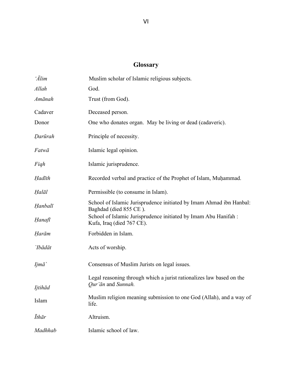## **Glossary**

| $\tilde{Alim}$ | Muslim scholar of Islamic religious subjects.                                                 |
|----------------|-----------------------------------------------------------------------------------------------|
| Allah          | God.                                                                                          |
| Amānah         | Trust (from God).                                                                             |
| Cadaver        | Deceased person.                                                                              |
| Donor          | One who donates organ. May be living or dead (cadaveric).                                     |
| Darūrah        | Principle of necessity.                                                                       |
| Fatwā          | Islamic legal opinion.                                                                        |
| Figh           | Islamic jurisprudence.                                                                        |
| Hadīth         | Recorded verbal and practice of the Prophet of Islam, Muhammad.                               |
| Halāl          | Permissible (to consume in Islam).                                                            |
| Hanbalī        | School of Islamic Jurisprudence initiated by Imam Ahmad ibn Hanbal:<br>Baghdad (died 855 CE). |
| Hanafī         | School of Islamic Jurisprudence initiated by Imam Abu Hanifah :<br>Kufa, Iraq (died 767 CE).  |
| Harām          | Forbidden in Islam.                                                                           |
| `Ibādāt        | Acts of worship.                                                                              |
| Ijmā`          | Consensus of Muslim Jurists on legal issues.                                                  |
|                | Legal reasoning through which a jurist rationalizes law based on the<br>Qur'ān and Sunnah.    |
| Ijtihād        |                                                                                               |
| Islam          | Muslim religion meaning submission to one God (Allah), and a way of<br>life.                  |
| <i>Ithār</i>   | Altruism.                                                                                     |
| Madhhab        | Islamic school of law.                                                                        |
|                |                                                                                               |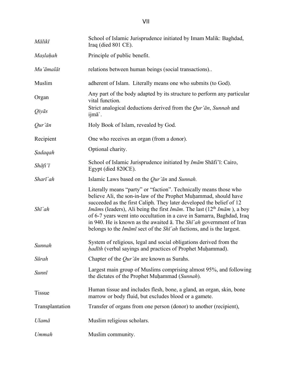| Mālikī              | School of Islamic Jurisprudence initiated by Imam Malik: Baghdad,<br>Iraq (died 801 CE).                                                                                                                                                                                                                                                                                                                                                                                                                                                                                                    |
|---------------------|---------------------------------------------------------------------------------------------------------------------------------------------------------------------------------------------------------------------------------------------------------------------------------------------------------------------------------------------------------------------------------------------------------------------------------------------------------------------------------------------------------------------------------------------------------------------------------------------|
| Maslahah            | Principle of public benefit.                                                                                                                                                                                                                                                                                                                                                                                                                                                                                                                                                                |
| Mu'āmalāt           | relations between human beings (social transactions)                                                                                                                                                                                                                                                                                                                                                                                                                                                                                                                                        |
| Muslim              | adherent of Islam. Literally means one who submits (to God).                                                                                                                                                                                                                                                                                                                                                                                                                                                                                                                                |
| Organ               | Any part of the body adapted by its structure to perform any particular<br>vital function.                                                                                                                                                                                                                                                                                                                                                                                                                                                                                                  |
| Qiyās               | Strict analogical deductions derived from the Qur'an, Sunnah and<br>ijmā`.                                                                                                                                                                                                                                                                                                                                                                                                                                                                                                                  |
| Qur'ān              | Holy Book of Islam, revealed by God.                                                                                                                                                                                                                                                                                                                                                                                                                                                                                                                                                        |
| Recipient           | One who receives an organ (from a donor).                                                                                                                                                                                                                                                                                                                                                                                                                                                                                                                                                   |
| Sadaqah             | Optional charity.                                                                                                                                                                                                                                                                                                                                                                                                                                                                                                                                                                           |
| Shāfi'ī             | School of Islamic Jurisprudence initiated by <i>Imām</i> Shāfi'ī: Cairo,<br>Egypt (died 820CE).                                                                                                                                                                                                                                                                                                                                                                                                                                                                                             |
| Sharī`ah            | Islamic Laws based on the <i>Qur'an</i> and <i>Sunnah</i> .                                                                                                                                                                                                                                                                                                                                                                                                                                                                                                                                 |
| $Sh\bar{\iota}$ `ah | Literally means "party" or "faction". Technically means those who<br>believe Ali, the son-in-law of the Prophet Muhammad, should have<br>succeeded as the first Caliph. They later developed the belief of 12<br><i>Imāms</i> (leaders), Ali being the first <i>Imām</i> . The last (12 <sup>th</sup> <i>Imām</i> ), a boy<br>of 6-7 years went into occultation in a cave in Samarra, Baghdad, Iraq<br>in 940. He is known as the awaited $\bar{a}$ . The <i>Shi</i> ' <i>ah</i> government of Iran<br>belongs to the <i>Imami</i> sect of the <i>Shi</i> ah factions, and is the largest. |
| Sunnah              | System of religious, legal and social obligations derived from the<br>hadīth (verbal sayings and practices of Prophet Muhammad).                                                                                                                                                                                                                                                                                                                                                                                                                                                            |
| Sūrah               | Chapter of the $Qur'$ an are known as Surahs.                                                                                                                                                                                                                                                                                                                                                                                                                                                                                                                                               |
| Sunnī               | Largest main group of Muslims comprising almost 95%, and following<br>the dictates of the Prophet Muhammad (Sunnah).                                                                                                                                                                                                                                                                                                                                                                                                                                                                        |
| <b>Tissue</b>       | Human tissue and includes flesh, bone, a gland, an organ, skin, bone<br>marrow or body fluid, but excludes blood or a gamete.                                                                                                                                                                                                                                                                                                                                                                                                                                                               |
| Transplantation     | Transfer of organs from one person (donor) to another (recipient),                                                                                                                                                                                                                                                                                                                                                                                                                                                                                                                          |
| Ulamā               | Muslim religious scholars.                                                                                                                                                                                                                                                                                                                                                                                                                                                                                                                                                                  |
| Ummah               | Muslim community.                                                                                                                                                                                                                                                                                                                                                                                                                                                                                                                                                                           |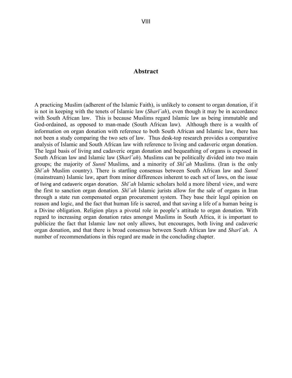## **Abstract**

A practicing Muslim (adherent of the Islamic Faith), is unlikely to consent to organ donation, if it is not in keeping with the tenets of Islamic law (*Sharī`ah*), even though it may be in accordance with South African law. This is because Muslims regard Islamic law as being immutable and God-ordained, as opposed to man-made (South African law). Although there is a wealth of information on organ donation with reference to both South African and Islamic law, there has not been a study comparing the two sets of law. Thus desk-top research provides a comparative analysis of Islamic and South African law with reference to living and cadaveric organ donation. The legal basis of living and cadaveric organ donation and bequeathing of organs is exposed in South African law and Islamic law (*Sharī`ah*). Muslims can be politically divided into two main groups; the majority of *Sunnī* Muslims, and a minority of *Shī`ah* Muslims. (Iran is the only *Shī`ah* Muslim country). There is startling consensus between South African law and *Sunnī* (mainstream) Islamic law, apart from minor differences inherent to each set of laws, on the issue of living and cadaveric organ donation. *Shī`ah* Islamic scholars hold a more liberal view, and were the first to sanction organ donation. *Shī`ah* Islamic jurists allow for the sale of organs in Iran through a state run compensated organ procurement system. They base their legal opinion on reason and logic, and the fact that human life is sacred, and that saving a life of a human being is a Divine obligation. Religion plays a pivotal role in people's attitude to organ donation. With regard to increasing organ donation rates amongst Muslims in South Africa, it is important to publicize the fact that Islamic law not only allows, but encourages, both living and cadaveric organ donation, and that there is broad consensus between South African law and *Sharī`ah*. A number of recommendations in this regard are made in the concluding chapter.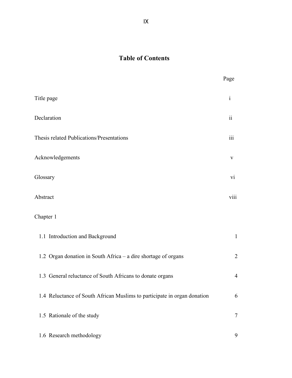## **Table of Contents**

|                                                                          | Page            |
|--------------------------------------------------------------------------|-----------------|
| Title page                                                               | $\mathbf{i}$    |
| Declaration                                                              | $\ddot{\rm ii}$ |
| Thesis related Publications/Presentations                                |                 |
| Acknowledgements                                                         | V               |
| Glossary                                                                 | vi              |
| Abstract                                                                 | viii            |
| Chapter 1                                                                |                 |
| 1.1 Introduction and Background                                          | $\mathbf{1}$    |
| 1.2 Organ donation in South Africa – a dire shortage of organs           | $\overline{2}$  |
| 1.3 General reluctance of South Africans to donate organs                | $\overline{4}$  |
| 1.4 Reluctance of South African Muslims to participate in organ donation | 6               |
| 1.5 Rationale of the study                                               | 7               |
| 1.6 Research methodology                                                 | 9               |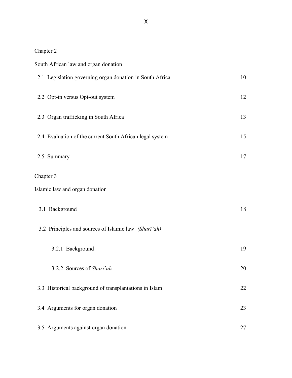## Chapter 2

|           | South African law and organ donation                     |    |  |
|-----------|----------------------------------------------------------|----|--|
|           | 2.1 Legislation governing organ donation in South Africa | 10 |  |
|           | 2.2 Opt-in versus Opt-out system                         | 12 |  |
|           | 2.3 Organ trafficking in South Africa                    | 13 |  |
|           | 2.4 Evaluation of the current South African legal system | 15 |  |
|           | 2.5 Summary                                              | 17 |  |
| Chapter 3 |                                                          |    |  |
|           | Islamic law and organ donation                           |    |  |
|           | 3.1 Background                                           | 18 |  |
|           | 3.2 Principles and sources of Islamic law (Sharī`ah)     |    |  |
|           | 3.2.1 Background                                         | 19 |  |
|           | 3.2.2 Sources of Sharī'ah                                | 20 |  |
|           | 3.3 Historical background of transplantations in Islam   | 22 |  |
|           | 3.4 Arguments for organ donation                         | 23 |  |
|           | 3.5 Arguments against organ donation                     | 27 |  |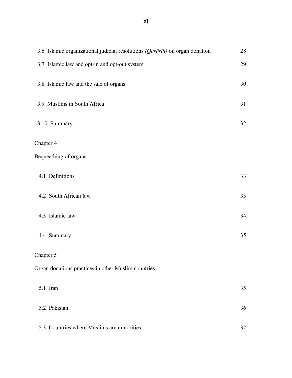XI

| 3.6 Islamic organizational judicial resolutions (Qarārāt) on organ donation |    |
|-----------------------------------------------------------------------------|----|
| 3.7 Islamic law and opt-in and opt-out system                               | 29 |
| 3.8 Islamic law and the sale of organs                                      | 30 |
| 3.9 Muslims in South Africa                                                 | 31 |
| 3.10 Summary                                                                | 32 |
| Chapter 4                                                                   |    |
| Bequeathing of organs                                                       |    |
| 4.1 Definitions                                                             | 33 |
| 4.2 South African law                                                       | 33 |
| 4.3 Islamic law                                                             | 34 |
| 4.4 Summary                                                                 | 35 |
| Chapter 5                                                                   |    |
| Organ donations practices in other Muslim countries                         |    |
| 5.1 Iran                                                                    | 35 |
| 5.2 Pakistan                                                                | 36 |
| 5.3 Countries where Muslims are minorities                                  | 37 |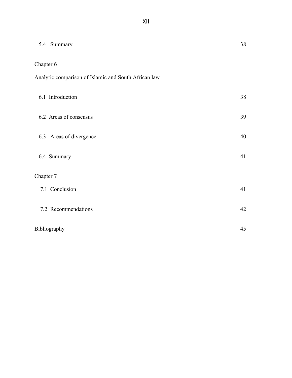| 5.4 Summary                                          | 38 |
|------------------------------------------------------|----|
| Chapter 6                                            |    |
| Analytic comparison of Islamic and South African law |    |
| 6.1 Introduction                                     | 38 |
| 6.2 Areas of consensus                               | 39 |
| 6.3 Areas of divergence                              | 40 |
| 6.4 Summary                                          | 41 |
| Chapter 7                                            |    |
| 7.1 Conclusion                                       | 41 |
| 7.2 Recommendations                                  | 42 |
| Bibliography                                         | 45 |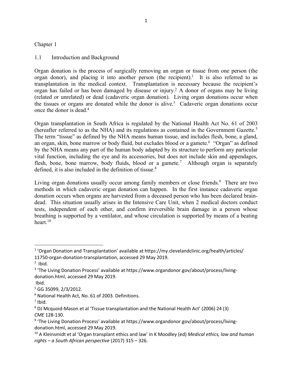#### Chapter 1

#### 1.1 Introduction and Background

Organ donation is the process of surgically removing an organ or tissue from one person (the organ donor), and placing it into another person (the recipient).<sup>1</sup> It is also referred to as transplantation in the medical context. Transplantation is necessary because the recipient's organ has failed or has been damaged by disease or injury.2 A donor of organs may be living (related or unrelated) or dead (cadaveric organ donation). Living organ donations occur when the tissues or organs are donated while the donor is alive.<sup>3</sup> Cadaveric organ donations occur once the donor is dead. $4$ 

Organ transplantation in South Africa is regulated by the National Health Act No. 61 of 2003 (hereafter referred to as the NHA) and its regulations as contained in the Government Gazette.<sup>5</sup> The term "tissue" as defined by the NHA means human tissue, and includes flesh, bone, a gland, an organ, skin, bone marrow or body fluid, but excludes blood or a gamete.<sup>6</sup> "Organ" as defined by the NHA means any part of the human body adapted by its structure to perform any particular vital function, including the eye and its accessories, but does not include skin and appendages, flesh, bone, bone marrow, body fluids, blood or a gamete.<sup>7</sup> Although organ is separately defined, it is also included in the definition of tissue. $8$ 

Living organ donations usually occur among family members or close friends.<sup>9</sup> There are two methods in which cadaveric organ donation can happen. In the first instance cadaveric organ donation occurs when organs are harvested from a deceased person who has been declared braindead. This situation usually arises in the Intensive Care Unit, when 2 medical doctors conduct tests, independent of each other, and confirm irreversible brain damage in a person whose breathing is supported by a ventilator, and whose circulation is supported by means of a beating heart.<sup>10</sup>

<sup>&</sup>lt;sup>1</sup> 'Organ Donation and Transplantation' available at https://my.clevelandclinic.org/health/articles/ 11750-organ-donation-transplantation, accessed 29 May 2019.

 $2$  Ibid.

<sup>&</sup>lt;sup>3</sup> 'The Living Donation Process' available at https://www.organdonor.gov/about/process/livingdonation.html, accessed 29 May 2019.

Ibid.

<sup>5</sup> GG 35099, 2/3/2012.

<sup>6</sup> National Health Act, No. 61 of 2003. Definitions.

 $<sup>7</sup>$  Ibid.</sup>

<sup>8</sup> DJ Mcquoid-Mason et al 'Tissue transplantation and the National Health Act' (2006) 24 (3) *CME* 128-130.

<sup>&</sup>lt;sup>9</sup> 'The Living Donation Process' available at https://www.organdonor.gov/about/process/livingdonation.html, accessed 29 May 2019.

<sup>10</sup> A Kleinsmidt et al 'Organ transplant ethics and law' in K Moodley (ed) *Medical ethics, law and human rights – a South African perspective* (2017) 315 – 326.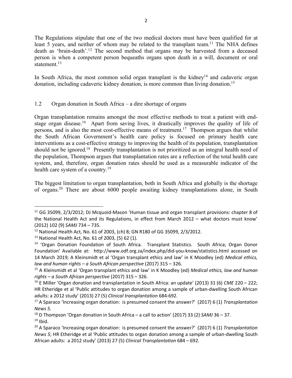The Regulations stipulate that one of the two medical doctors must have been qualified for at least 5 years, and neither of whom may be related to the transplant team.<sup>11</sup> The NHA defines death as 'brain-death'.12 The second method that organs may be harvested from a deceased person is when a competent person bequeaths organs upon death in a will, document or oral statement.<sup>13</sup>

In South Africa, the most common solid organ transplant is the kidney<sup>14</sup> and cadaveric organ donation, including cadaveric kidney donation, is more common than living donation.15

## 1.2 Organ donation in South Africa – a dire shortage of organs

Organ transplantation remains amongst the most effective methods to treat a patient with endstage organ disease.<sup>16</sup> Apart from saving lives, it drastically improves the quality of life of persons, and is also the most cost-effective means of treatment.17 Thompson argues that whilst the South African Government's health care policy is focused on primary health care interventions as a cost-effective strategy to improving the health of its population, transplantation should not be ignored.<sup>18</sup> Presently transplantation is not prioritized as an integral health need of the population, Thompson argues that transplantation rates are a reflection of the total health care system, and, therefore, organ donation rates should be used as a measurable indicator of the health care system of a country.<sup>19</sup>

The biggest limitation to organ transplantation, both in South Africa and globally is the shortage of organs.20 There are about 6000 people awaiting kidney transplantations alone, in South

<sup>&</sup>lt;sup>11</sup> GG 35099, 2/3/2012; DJ Mcquoid-Mason 'Human tissue and organ transplant provisions: chapter 8 of the National Health Act and its Regulations, in effect from March 2012 – what doctors must know' (2012) 102 (9) *SAMJ* 734 – 735.

<sup>12</sup> National Health Act, No. 61 of 2003, (ch) 8; GN R180 of GG 35099, 2/3/2012.

<sup>13</sup> National Health Act, No. 61 of 2003, (5) 62 (1).

<sup>&</sup>lt;sup>14</sup> 'Organ Donation Foundation of South Africa. Transplant Statistics. South Africa; Organ Donor Foundation' Available at: http://www.odf.org.za/index.php/did-you-know/statistics.html accessed on 14 March 2019; A Kleinsmidt et al 'Organ transplant ethics and law' in K Moodley (ed) *Medical ethics, law and human rights – a South African perspective* (2017) 315 – 326.

<sup>15</sup> A Kleinsmidt et al 'Organ transplant ethics and law' in K Moodley (ed) *Medical ethics, law and human rights – a South African perspective* (2017) 315 – 326.

<sup>16</sup> E Miller 'Organ donation and transplantation in South Africa: an update' (2013) 31 (6) *CME* 220 – 222; HR Etheridge et al 'Public attitudes to organ donation among a sample of urban-dwelling South African adults: a 2012 study' (2013) 27 (5) *Clinical transplantation* 684-692.

<sup>17</sup> A Sparaco 'Increasing organ donation: is presumed consent the answer?' (2017) 6 (1) *Transplantation News 5.*

<sup>18</sup> D Thompson 'Organ donation in South Africa – a call to action' (2017) 33 (2) *SAMJ* 36 – 37.  $19$  Ibid.

<sup>20</sup> A Sparaco 'Increasing organ donation: is presumed consent the answer?' (2017) 6 (1) *Transplantation News 5*; HR Etheridge et al 'Public attitudes to organ donation among a sample of urban-dwelling South African adults: a 2012 study' (2013) 27 (5) *Clinical Transplantation* 684 – 692.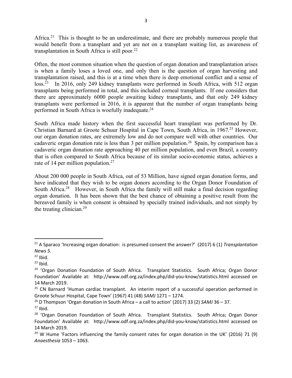Africa.<sup>21</sup> This is thought to be an underestimate, and there are probably numerous people that would benefit from a transplant and yet are not on a transplant waiting list, as awareness of transplantation in South Africa is still poor.<sup>22</sup>

Often, the most common situation when the question of organ donation and transplantation arises is when a family loses a loved one, and only then is the question of organ harvesting and transplantation raised, and this is at a time when there is deep emotional conflict and a sense of loss.<sup>23</sup> In 2016, only 249 kidney transplants were performed in South Africa, with 512 organ transplants being performed in total, and this included corneal transplants. If one considers that there are approximately 6000 people awaiting kidney transplants, and that only 249 kidney transplants were performed in 2016, it is apparent that the number of organ transplants being performed in South Africa is woefully inadequate.24

South Africa made history when the first successful heart transplant was performed by Dr. Christian Barnard at Groote Schuur Hospital in Cape Town, South Africa, in 1967.<sup>25</sup> However, our organ donation rates, are extremely low and do not compare well with other countries. Our cadaveric organ donation rate is less than 3 per million population.<sup>26</sup> Spain, by comparison has a cadaveric organ donation rate approaching 40 per million population, and even Brazil, a country that is often compared to South Africa because of its similar socio-economic status, achieves a rate of 14 per million population.<sup>27</sup>

About 200 000 people in South Africa, out of 53 Million, have signed organ donation forms, and have indicated that they wish to be organ donors according to the Organ Donor Foundation of South Africa.<sup>28</sup> However, in South Africa the family will still make a final decision regarding organ donation. It has been shown that the best chance of obtaining a positive result from the bereaved family is when consent is obtained by specially trained individuals, and not simply by the treating clinician.29

 <sup>21</sup> A Sparaco 'Increasing organ donation: is presumed consent the answer?' (2017) 6 (1) *Transplantation News 5.*

 $22$  Ibid.

 $23$  Ihid.

<sup>&</sup>lt;sup>24</sup> 'Organ Donation Foundation of South Africa. Transplant Statistics. South Africa; Organ Donor Foundation' Available at: http://www.odf.org.za/index.php/did-you-know/statistics.html accessed on 14 March 2019.

 $25$  CN Barnard 'Human cardiac transplant. An interim report of a successful operation performed in Groote Schuur Hospital, Cape Town' (1967) 41 (48) *SAMJ* 1271 – 1274.

<sup>26</sup> D Thompson 'Organ donation in South Africa – a call to action' (2017) 33 (2) *SAMJ* 36 – 37.

 $27$  Ibid.

<sup>&</sup>lt;sup>28</sup> 'Organ Donation Foundation of South Africa. Transplant Statistics. South Africa; Organ Donor Foundation' Available at: http://www.odf.org.za/index.php/did-you-know/statistics.html accessed on 14 March 2019.

 $29$  W Hume 'Factors influencing the family consent rates for organ donation in the UK' (2016) 71 (9) *Anaesthesia* 1053 – 1063.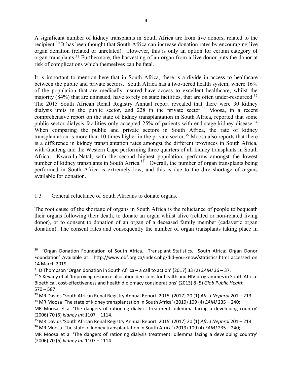A significant number of kidney transplants in South Africa are from live donors, related to the recipient.30 It has been thought that South Africa can increase donation rates by encouraging live organ donation (related or unrelated). However, this is only an option for certain category of organ transplants.31 Furthermore, the harvesting of an organ from a live donor puts the donor at risk of complications which themselves can be fatal.

It is important to mention here that in South Africa, there is a divide in access to healthcare between the public and private sectors. South Africa has a two-tiered health system, where 16% of the population that are medically insured have access to excellent healthcare, whilst the majority (84%) that are uninsued, have to rely on state facilities, that are often under-resourced.<sup>32</sup> The 2015 South African Renal Registry Annual report revealed that there were 30 kidney dialysis units in the public sector, and  $228$  in the private sector.<sup>33</sup> Moosa, in a recent comprehensive report on the state of kidney transplantation in South Africa, reported that some public sector dialysis facilities only accepted 25% of patients with end-stage kidney disease.<sup>34</sup> When comparing the public and private sectors in South Africa, the rate of kidney transplantation is more than 10 times higher in the private sector.<sup>35</sup> Moosa also reports that there is a difference in kidney transplantation rates amongst the different provinces in South Africa, with Gauteng and the Western Cape performing three quarters of all kidney transplants in South Africa. Kwazulu-Natal, with the second highest population, performs amongst the lowest number of kidney transplants in South Africa.<sup>36</sup> Overall, the number of organ transplants being performed in South Africa is extremely low, and this is due to the dire shortage of organs available for donation.

## 1.3 General reluctance of South Africans to donate organs.

The root cause of the shortage of organs in South Africa is the reluctance of people to bequeath their organs following their death, to donate an organ whilst alive (related or non-related living donor), or to consent to donation of an organ of a deceased family member (cadaveric organ donation). The consent rates and consequently the number of organ transplants taking place in

<sup>&</sup>lt;sup>30</sup> 'Organ Donation Foundation of South Africa. Transplant Statistics. South Africa; Organ Donor Foundation' Available at: http://www.odf.org.za/index.php/did-you-know/statistics.html accessed on 14 March 2019.

<sup>31</sup> D Thompson 'Organ donation in South Africa – a call to action' (2017) 33 (2) *SAMJ* 36 – 37.

<sup>&</sup>lt;sup>32</sup> S Kevany et al 'Improving resource allocation decisions for health and HIV programmes in South Africa: Bioethical, cost-effectiveness and health diplomacy considerations' (2013) 8 (5) *Glob Public Health*  $570 - 587.$ 

<sup>33</sup> MR Davids 'South African Renal Registry Annual Report: 2015' (2017) 20 (1) *Afr. J Nephrol* 201 – 213. <sup>34</sup> MR Moosa 'The state of kidney transplantation in South Africa' (2019) 109 (4) *SAMJ* 235 – 240;

MR Moosa et al 'The dangers of rationing dialysis treatment: dilemma facing a developing country' (2006) 70 (6) *kidney Int* 1107 – 1114.

<sup>35</sup> MR Davids 'South African Renal Registry Annual Report: 2015' (2017) 20 (1) *Afr. J Nephrol* 201 – 213.

<sup>36</sup> MR Moosa 'The state of kidney transplantation in South Africa' (2019) 109 (4) *SAMJ* 235 – 240;

MR Moosa et al 'The dangers of rationing dialysis treatment: dilemma facing a developing country' (2006) 70 (6) *kidney Int* 1107 – 1114.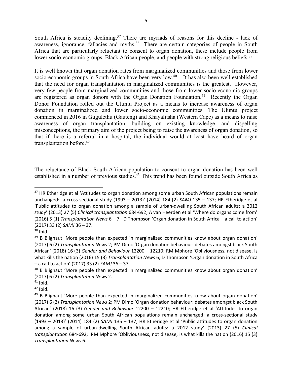South Africa is steadily declining.<sup>37</sup> There are myriads of reasons for this decline - lack of awareness, ignorance, fallacies and myths.<sup>38</sup> There are certain categories of people in South Africa that are particularly reluctant to consent to organ donation, these include people from lower socio-economic groups, Black African people, and people with strong religious beliefs.<sup>39</sup>

It is well known that organ donation rates from marginalized communities and those from lower socio-economic groups in South Africa have been very low.<sup>40</sup> It has also been well established that the need for organ transplantation in marginalized communities is the greatest. However, very few people from marginalized communities and those from lower socio-economic groups are registered as organ donors with the Organ Donation Foundation.<sup>41</sup> Recently the Organ Donor Foundation rolled out the Uluntu Project as a means to increase awareness of organ donation in marginalized and lower socio-economic communities. The Uluntu project commenced in 2016 in Gugulethu (Gauteng) and Khayalitsha (Western Cape) as a means to raise awareness of organ transplantation, building on existing knowledge, and dispelling misconceptions, the primary aim of the project being to raise the awareness of organ donation, so that if there is a referral in a hospital, the individual would at least have heard of organ transplantation before.42

The reluctance of Black South African population to consent to organ donation has been well established in a number of previous studies.<sup>43</sup> This trend has been found outside South Africa as

<sup>&</sup>lt;sup>37</sup> HR Etheridge et al 'Attitudes to organ donation among some urban South African populations remain unchanged: a cross-sectional study (1993 – 2013)' (2014) 184 (2) *SAMJ* 135 – 137; HR Etheridge et al 'Public attitudes to organ donation among a sample of urban-dwelling South African adults: a 2012 study' (2013) 27 (5) *Clinical transplantation* 684-692; A van Heerden et al 'Where do organs come from' (2016) 5 (1) *Transplantation News* 6 – 7; D Thompson 'Organ donation in South Africa – a call to action' (2017) 33 (2) *SAMJ* 36 – 37.

 $38$  Ibid.

 $39$  B Blignaut 'More people than expected in marginalized communities know about organ donation' (2017) 6 (2) *Transplantation News* 2; PM Dimo 'Organ donation behaviour: debates amongst black South African' (2018) 16 (3) *Gender and Behaviour* 12200 – 12210; RM Mphore 'Obliviousness, not disease, is what kills the nation (2016) 15 (3) *Transplantation News* 6; D Thompson 'Organ donation in South Africa – a call to action' (2017) 33 (2) *SAMJ* 36 – 37.

<sup>40</sup> B Blignaut 'More people than expected in marginalized communities know about organ donation' (2017) 6 (2) *Transplantation News* 2.

 $41$  Ibid.

 $42$  Ibid.

 $43$  B Blignaut 'More people than expected in marginalized communities know about organ donation' (2017) 6 (2) *Transplantation News* 2; PM Dimo 'Organ donation behaviour: debates amongst black South African' (2018) 16 (3) *Gender and Behaviour* 12200 – 12210; HR Etheridge et al 'Attitudes to organ donation among some urban South African populations remain unchanged: a cross-sectional study (1993 – 2013)' (2014) 184 (2) *SAMJ* 135 – 137; HR Etheridge et al 'Public attitudes to organ donation among a sample of urban-dwelling South African adults: a 2012 study' (2013) 27 (5) *Clinical transplantation* 684-692; RM Mphore 'Obliviousness, not disease, is what kills the nation (2016) 15 (3) *Transplantation News* 6.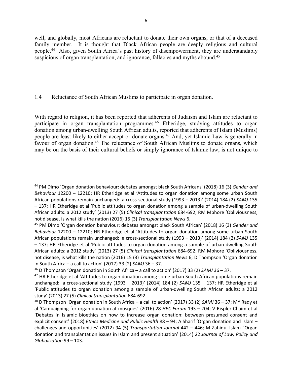well, and globally, most Africans are reluctant to donate their own organs, or that of a deceased family member. It is thought that Black African people are deeply religious and cultural people.44 Also, given South Africa's past history of disempowerment, they are understandably suspicious of organ transplantation, and ignorance, fallacies and myths abound.<sup>45</sup>

## 1.4 Reluctance of South African Muslims to participate in organ donation.

With regard to religion, it has been reported that adherents of Judaism and Islam are reluctant to participate in organ transplantation programmes.<sup>46</sup> Etheridge, studying attitudes to organ donation among urban-dwelling South African adults, reported that adherents of Islam (Muslims) people are least likely to either accept or donate organs.47 And, yet Islamic Law is generally in favour of organ donation.<sup>48</sup> The reluctance of South African Muslims to donate organs, which may be on the basis of their cultural beliefs or simply ignorance of Islamic law, is not unique to

 <sup>44</sup> PM Dimo 'Organ donation behaviour: debates amongst black South Africans' (2018) 16 (3) *Gender and Behaviour* 12200 – 12210; HR Etheridge et al 'Attitudes to organ donation among some urban South African populations remain unchanged: a cross-sectional study (1993 – 2013)' (2014) 184 (2) *SAMJ* 135 – 137; HR Etheridge et al 'Public attitudes to organ donation among a sample of urban-dwelling South African adults: a 2012 study' (2013) 27 (5) *Clinical transplantation* 684-692; RM Mphore 'Obliviousness, not disease, is what kills the nation (2016) 15 (3) *Transplantation News* 6.

<sup>45</sup> PM Dimo 'Organ donation behaviour: debates amongst black South African' (2018) 16 (3) *Gender and Behaviour* 12200 – 12210; HR Etheridge et al 'Attitudes to organ donation among some urban South African populations remain unchanged: a cross-sectional study (1993 – 2013)' (2014) 184 (2) *SAMJ* 135 – 137; HR Etheridge et al 'Public attitudes to organ donation among a sample of urban-dwelling South African adults: a 2012 study' (2013) 27 (5) *Clinical transplantation* 684-692; RM Mphore 'Obliviousness, not disease, is what kills the nation (2016) 15 (3) *Transplantation News* 6; D Thompson 'Organ donation in South Africa – a call to action' (2017) 33 (2) *SAMJ* 36 – 37.

<sup>46</sup> D Thompson 'Organ donation in South Africa – a call to action' (2017) 33 (2) *SAMJ* 36 – 37.

<sup>&</sup>lt;sup>47</sup> HR Etheridge et al 'Attitudes to organ donation among some urban South African populations remain unchanged: a cross-sectional study (1993 – 2013)' (2014) 184 (2) *SAMJ* 135 – 137; HR Etheridge et al 'Public attitudes to organ donation among a sample of urban-dwelling South African adults: a 2012 study' (2013) 27 (5) *Clinical transplantation* 684-692.

<sup>48</sup> D Thompson 'Organ donation in South Africa – a call to action' (2017) 33 (2) *SAMJ* 36 – 37; MY Rady et al 'Campaigning for organ donation at mosques' (2016) 28 *HEC Forum* 193 – 204; V Rispler Chaim et al 'Debates in Islamic bioethics on how to increase organ donation: between presumed consent and explicit consent' (2018) *Ethics Medicine and Public Health* 88 – 94; A Sharif 'Organ donation and Islam – challenges and opportunities' (2012) 94 (5) *Transportation Journal* 442 – 446; M Zahidul Islam "Organ donation and transplantation issues in Islam and present situation' (2014) 22 *Journal of Law, Policy and Globalization* 99 – 103.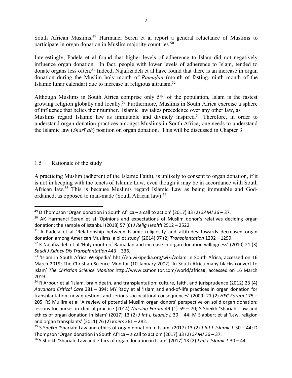South African Muslims.49 Harmanci Seren et al report a general reluctance of Muslims to participate in organ donation in Muslim majority countries.<sup>50</sup>

Interestingly, Padela et al found that higher levels of adherence to Islam did not negatively influence organ donation. In fact, people with lower levels of adherence to Islam, tended to donate organs less often.51 Indeed, Najafizadeh et al have found that there is an increase in organ donation during the Muslim holy month of *Ramaḍān* (month of fasting, ninth month of the Islamic lunar calendar) due to increase in religious altruism.52

Although Muslims in South Africa comprise only 5% of the population, Islam is the fastest growing religion globally and locally.53 Furthermore, Muslims in South Africa exercise a sphere of influence that belies their number. Islamic law takes precedence over any other law, as Muslims regard Islamic law as immutable and divinely inspired.<sup>54</sup> Therefore, in order to understand organ donation practices amongst Muslims in South Africa, one needs to understand the Islamic law (*Sharī`ah*) position on organ donation. This will be discussed in Chapter 3.

#### 1.5 Rationale of the study

A practicing Muslim (adherent of the Islamic Faith), is unlikely to consent to organ donation, if it is not in keeping with the tenets of Islamic Law, even though it may be in accordance with South African law.55 This is because Muslims regard Islamic Law as being immutable and Godordained, as opposed to man-made (South African law).<sup>56</sup>

 <sup>49</sup> D Thompson 'Organ donation in South Africa – a call to action' (2017) 33 (2) *SAMJ* 36 – 37.

<sup>&</sup>lt;sup>50</sup> AK Harmanci Seren et al 'Opinions and expectations of Muslim donor's relatives deciding organ donation: the sample of Istanbul (2018) 57 (6) *J Relig Health* 2512 – 2522.

<sup>&</sup>lt;sup>51</sup> A Padela et al 'Relationship between Islamic religiosity and attitudes towards decreased organ donation among American Muslims: a pilot study' (2014) 97 (2) *Transplantation* 1292 – 1299.

 $52$  K Najafizadeh et al 'Holy month of Ramadan and increase in organ donation willingness' (2010) 21 (3) *Saudi J Kidney Dis Transplantation* 443 – 336.

<sup>53</sup> 'Islam in South Africa Wikipedia' hht://en.wikipedia.org/wiki/zolam in South Africa, accessed on 16 March 2019; The Christian Science Monitor (10 January 2002) 'In South Africa many blacks convert to Islam' *The Christian Science Monitor* http://www.csmonitor.com/world/africa#, accessed on 16 March 2019.

<sup>54</sup> R Arbour et al 'Islam, brain death, and transplantation: culture, faith, and jurisprudence (2012) 23 (4) *Advanced Critical Care* 381 – 394; MY Rady et al 'Islam and end-of-life practices in organ donation for transplantation: new questions and serious sociocultural consequences' (2009) 21 (2) *HFC Forum* 175 – 205; RS Muliira et al 'A review of potential Muslim organ donors' perspective on solid organ donation: lessons for nurses in clinical practice (2014) *Nursing Forum* 49 (1) 59 – 70; S Sheikh 'Shariah: Law and ethics of organ donation in Islam' (2017) 13 (2) *J Int L Islamic L* 30 – 44; M Slabbert et al 'Law, religion and organ transplants' (2011) 76 (2) *Koers* 261 – 282.

<sup>55</sup> S Sheikh 'Shariah: Law and ethics of organ donation in Islam' (2017) 13 (2) *J Int L Islamic L* 30 – 44; D Thompson 'Organ donation in South Africa – a call to action' (2017) 33 (2) *SAMJ* 36 – 37.

<sup>56</sup> S Sheikh 'Shariah: Law and ethics of organ donation in Islam' (2017) 13 (2) *J Int L Islamic L* 30 – 44.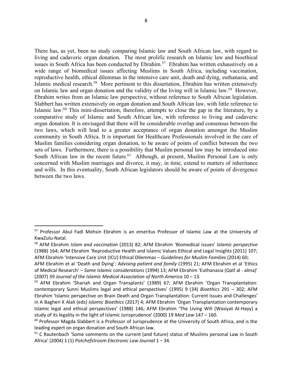There has, as yet, been no study comparing Islamic law and South African law, with regard to living and cadaveric organ donation. The most prolific research on Islamic law and bioethical issues in South Africa has been conducted by Ebrahim.<sup>57</sup> Ebrahim has written exhaustively on a wide range of biomedical issues affecting Muslims in South Africa, including vaccination, reproductive health, ethical dilemmas in the intensive care unit, death and dying, euthanasia, and Islamic medical research.58 More pertinent to this dissertation, Ebrahim has written extensively on Islamic law and organ donation and the validity of the living will in Islamic law.59 However, Ebrahim writes from an Islamic law perspective, without reference to South African legislation. Slabbert has written extensively on organ donation and South African law, with little reference to Islamic law.60 This mini-dissertation, therefore, attempts to close the gap in the literature, by a comparative study of Islamic and South African law, with reference to living and cadaveric organ donation. It is envisaged that there will be considerable overlap and consensus between the two laws, which will lead to a greater acceptance of organ donation amongst the Muslim community in South Africa. It is important for Healthcare Professionals involved in the care of Muslim families considering organ donation, to be aware of points of conflict between the two sets of laws. Furthermore, there is a possibility that Muslim personal law may be introduced into South African law in the recent future.<sup>61</sup> Although, at present, Muslim Personal Law is only concerned with Muslim marriages and divorce, it may, in time, extend to matters of inheritance and wills. In this eventuality, South African legislators should be aware of points of divergence between the two laws.

<sup>&</sup>lt;sup>57</sup> Professor Abul Fadl Mohsin Ebrahim is an emeritus Professor of Islamic Law at the University of KwaZulu-Natal.

<sup>58</sup> AFM Ebrahim *Islam and vaccination* (2013) 82; AFM Ebrahim 'Biomedical issues' *Islamic perspective* (1988) 164; AFM Ebrahim 'Reproductive Health and Islamic Values Ethical and Legal Insights (2011) 107; AFM Ebrahim 'Intensive Care Unit (ICU) Ethical Dilemmas – *Guidelines for Muslim Families* (2014) 60;

AFM Ebrahim et al 'Death and Dying': *Advising patient and family* (1995) 21; AFM Ebrahim et al 'Ethics of Medical Research' – *Some Islamic considerations* (1994) 13; AFM Ebrahim 'Euthanasia (Qatl al - alma)' (2007) 39 *Journal of the Islamic Medical Association of North America* 10 – 13.

<sup>&</sup>lt;sup>59</sup> AFM Ebrahim 'Shariah and Organ Transplants' (1989) 67; AFM Ebrahim 'Organ Transplantation: contemporary Sunni Muslims legal and ethical perspectives' (1995) 9 (34) *Bioethics* 291 – 302; AFM Ebrahim 'Islamic perspective on Brain Death and Organ Transplantation: Current Issues and Challenges' in A Bagheri K Alali (eds) *Islamic Bioethics* (2017) 4; AFM Ebrahim 'Organ Transplantation contemporary Islamic legal and ethical perspectives' (1988) 146; AFM Ebrahim 'The Living Will (Wasiyat Al-Hayy) a study of its legality in the light of Islamic Jurisprudence' (2000) 19 *Med Law* 147 – 160.

<sup>&</sup>lt;sup>60</sup> Professor Magda Slabbert is a Professor of Jurisprudence at the University of South Africa, and is the leading expert on organ donation and South African law.

 $61$  C Rautenbach 'Some comments on the current (and future) status of Muslims personal Law in South Africa' (2004) 1 (1) *Potchefstroom Electronic Law Journal* 1 – 34.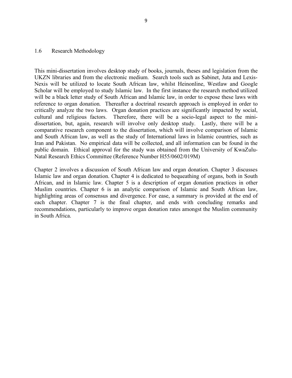#### 1.6 Research Methodology

This mini-dissertation involves desktop study of books, journals, theses and legislation from the UKZN libraries and from the electronic medium. Search tools such as Sabinet, Juta and Lexis-Nexis will be utilized to locate South African law, whilst Heinonline, Westlaw and Google Scholar will be employed to study Islamic law. In the first instance the research method utilized will be a black letter study of South African and Islamic law, in order to expose these laws with reference to organ donation. Thereafter a doctrinal research approach is employed in order to critically analyze the two laws. Organ donation practices are significantly impacted by social, cultural and religious factors. Therefore, there will be a socio-legal aspect to the minidissertation, but, again, research will involve only desktop study. Lastly, there will be a comparative research component to the dissertation, which will involve comparison of Islamic and South African law, as well as the study of International laws in Islamic countries, such as Iran and Pakistan. No empirical data will be collected, and all information can be found in the public domain. Ethical approval for the study was obtained from the University of KwaZulu-Natal Research Ethics Committee (Reference Number H55/0602/019M)

Chapter 2 involves a discussion of South African law and organ donation. Chapter 3 discusses Islamic law and organ donation. Chapter 4 is dedicated to bequeathing of organs, both in South African, and in Islamic law. Chapter 5 is a description of organ donation practices in other Muslim countries. Chapter 6 is an analytic comparison of Islamic and South African law, highlighting areas of consensus and divergence. For ease, a summary is provided at the end of each chapter. Chapter 7 is the final chapter, and ends with concluding remarks and recommendations, particularly to improve organ donation rates amongst the Muslim community in South Africa.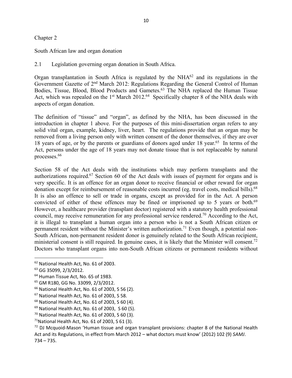#### Chapter 2

South African law and organ donation

2.1 Legislation governing organ donation in South Africa.

Organ transplantation in South Africa is regulated by the  $NHA^{62}$  and its regulations in the Government Gazette of 2nd March 2012: Regulations Regarding the General Control of Human Bodies, Tissue, Blood, Blood Products and Gametes.63 The NHA replaced the Human Tissue Act, which was repealed on the 1<sup>st</sup> March 2012.<sup>64</sup> Specifically chapter 8 of the NHA deals with aspects of organ donation.

The definition of "tissue" and "organ", as defined by the NHA, has been discussed in the introduction in chapter 1 above. For the purposes of this mini-dissertation organ refers to any solid vital organ, example, kidney, liver, heart. The regulations provide that an organ may be removed from a living person only with written consent of the donor themselves, if they are over 18 years of age, or by the parents or guardians of donors aged under 18 year.65 In terms of the Act, persons under the age of 18 years may not donate tissue that is not replaceable by natural processes.66

Section 58 of the Act deals with the institutions which may perform transplants and the authorizations required.67 Section 60 of the Act deals with issues of payment for organs and is very specific. It is an offence for an organ donor to receive financial or other reward for organ donation except for reimbursement of reasonable costs incurred (eg. travel costs, medical bills).68 It is also an offence to sell or trade in organs, except as provided for in the Act. A person convicted of either of these offences may be fined or imprisoned up to 5 years or both.<sup>69</sup> However, a healthcare provider (transplant doctor) registered with a statutory health professional council, may receive remuneration for any professional service rendered.70 According to the Act, it is illegal to transplant a human organ into a person who is not a South African citizen or permanent resident without the Minister's written authorization.<sup>71</sup> Even though, a potential non-South African, non-permanent resident donor is genuinely related to the South African recipient, ministerial consent is still required. In genuine cases, it is likely that the Minister will consent.<sup>72</sup> Doctors who transplant organs into non-South African citizens or permanent residents without

<sup>72</sup> DJ Mcquoid-Mason 'Human tissue and organ transplant provisions: chapter 8 of the National Health Act and its Regulations, in effect from March 2012 – what doctors must know' (2012) 102 (9) *SAMJ*. 734 – 735.

 <sup>62</sup> National Health Act, No. 61 of 2003.

<sup>63</sup> GG 35099, 2/3/2012.

<sup>&</sup>lt;sup>64</sup> Human Tissue Act, No. 65 of 1983.

<sup>65</sup> GM R180, GG No. 33099, 2/3/2012.

<sup>66</sup> National Health Act, No. 61 of 2003, S 56 (2).

<sup>67</sup> National Health Act, No. 61 of 2003, S 58.

<sup>68</sup> National Health Act, No. 61 of 2003, S 60 (4).

<sup>69</sup> National Health Act, No. 61 of 2003, S 60 (5).

 $70$  National Health Act, No. 61 of 2003, S 60 (3).

 $71$ National Health Act, No. 61 of 2003, S 61 (3).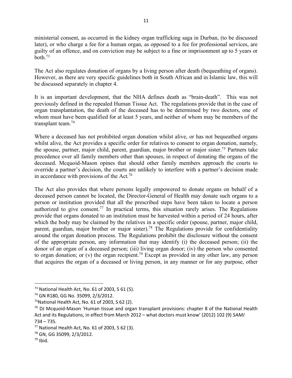ministerial consent, as occurred in the kidney organ trafficking saga in Durban, (to be discussed later), or who charge a fee for a human organ, as opposed to a fee for professional services, are guilty of an offence, and on conviction may be subject to a fine or imprisonment up to 5 years or both. $73$ 

The Act also regulates donation of organs by a living person after death (bequeathing of organs). However, as there are very specific guidelines both in South African and in Islamic law, this will be discussed separately in chapter 4.

It is an important development, that the NHA defines death as "brain-death". This was not previously defined in the repealed Human Tissue Act. The regulations provide that in the case of organ transplantation, the death of the deceased has to be determined by two doctors, one of whom must have been qualified for at least 5 years, and neither of whom may be members of the transplant team.74

Where a deceased has not prohibited organ donation whilst alive, or has not bequeathed organs whilst alive, the Act provides a specific order for relatives to consent to organ donation, namely, the spouse, partner, major child, parent, guardian, major brother or major sister.75 Partners take precedence over all family members other than spouses, in respect of donating the organs of the deceased. Mcquoid-Mason opines that should other family members approach the courts to override a partner's decision, the courts are unlikely to interfere with a partner's decision made in accordance with provisions of the Act.<sup>76</sup>

The Act also provides that where persons legally empowered to donate organs on behalf of a deceased person cannot be located, the Director-General of Health may donate such organs to a person or institution provided that all the prescribed steps have been taken to locate a person authorized to give consent.<sup>77</sup> In practical terms, this situation rarely arises. The Regulations provide that organs donated to an institution must be harvested within a period of 24 hours, after which the body may be claimed by the relatives in a specific order (spouse, partner, major child, parent, guardian, major brother or major sister).<sup>78</sup> The Regulations provide for confidentiality around the organ donation process. The Regulations prohibit the disclosure without the consent of the appropriate person, any information that may identify (i) the deceased person; (ii) the donor of an organ of a deceased person; (iii) living organ donor; (iv) the person who consented to organ donation; or  $(v)$  the organ recipient.<sup>79</sup> Except as provided in any other law, any person that acquires the organ of a deceased or living person, in any manner or for any purpose, other

 $73$  National Health Act, No. 61 of 2003, S 61 (5).

<sup>74</sup> GN R180, GG No. 35099, 2/3/2012.

 $75$ National Health Act, No. 61 of 2003, S 62 (2).

 $76$  DJ Mcquoid-Mason 'Human tissue and organ transplant provisions: chapter 8 of the National Health Act and its Regulations, in effect from March 2012 – what doctors must know' (2012) 102 (9) *SAMJ* 734 – 735.

 $77$  National Health Act, No. 61 of 2003, S 62 (3).

<sup>78</sup> GN, GG 35099, 2/3/2012.

 $79$  Ibid.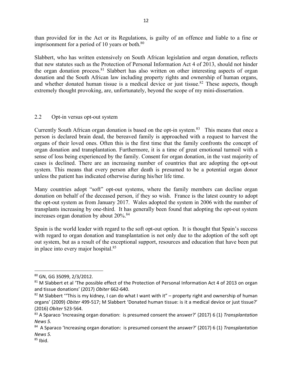than provided for in the Act or its Regulations, is guilty of an offence and liable to a fine or imprisonment for a period of 10 years or both.<sup>80</sup>

Slabbert, who has written extensively on South African legislation and organ donation, reflects that new statutes such as the Protection of Personal Information Act 4 of 2013, should not hinder the organ donation process.<sup>81</sup> Slabbert has also written on other interesting aspects of organ donation and the South African law including property rights and ownership of human organs, and whether donated human tissue is a medical device or just tissue.<sup>82</sup> These aspects, though extremely thought provoking, are, unfortunately, beyond the scope of my mini-dissertation.

#### 2.2 Opt-in versus opt-out system

Currently South African organ donation is based on the opt-in system.<sup>83</sup> This means that once a person is declared brain dead, the bereaved family is approached with a request to harvest the organs of their loved ones. Often this is the first time that the family confronts the concept of organ donation and transplantation. Furthermore, it is a time of great emotional turmoil with a sense of loss being experienced by the family. Consent for organ donation, in the vast majority of cases is declined. There are an increasing number of countries that are adopting the opt-out system. This means that every person after death is presumed to be a potential organ donor unless the patient has indicated otherwise during his/her life time.

Many countries adopt "soft" opt-out systems, where the family members can decline organ donation on behalf of the deceased person, if they so wish. France is the latest country to adopt the opt-out system as from January 2017. Wales adopted the system in 2006 with the number of transplants increasing by one-third. It has generally been found that adopting the opt-out system increases organ donation by about 20%.84

Spain is the world leader with regard to the soft opt-out option. It is thought that Spain's success with regard to organ donation and transplantation is not only due to the adoption of the soft opt out system, but as a result of the exceptional support, resources and education that have been put in place into every major hospital.85

 <sup>80</sup> GN, GG 35099, 2/3/2012.

<sup>81</sup> M Slabbert et al 'The possible effect of the Protection of Personal Information Act 4 of 2013 on organ and tissue donations' (2017) *Obiter* 662-640.

 $82$  M Slabbert "This is my kidney, I can do what I want with it" – property right and ownership of human organs' (2009) *Obiter* 499-517; M Slabbert 'Donated human tissue: is it a medical device or just tissue?' (2016) *Obiter* 523-564.

<sup>83</sup> A Sparaco 'Increasing organ donation: is presumed consent the answer?' (2017) 6 (1) *Transplantation News 5.*

<sup>84</sup> A Sparaco 'Increasing organ donation: is presumed consent the answer?' (2017) 6 (1) *Transplantation News 5.*

 $85$  Ibid.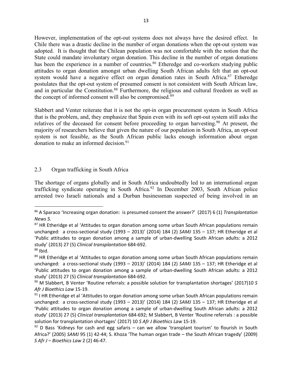However, implementation of the opt-out systems does not always have the desired effect. In Chile there was a drastic decline in the number of organ donations when the opt-out system was adopted. It is thought that the Chilean population was not comfortable with the notion that the State could mandate involuntary organ donation. This decline in the number of organ donations has been the experience in a number of countries.<sup>86</sup> Etheredge and co-workers studying public attitudes to organ donation amongst urban dwelling South African adults felt that an opt-out system would have a negative effect on organ donation rates in South Africa.<sup>87</sup> Etheredge postulates that the opt-out system of presumed consent is not consistent with South African law, and in particular the Constitution.<sup>88</sup> Furthermore, the religious and cultural freedom as well as the concept of informed consent will also be compromised.<sup>89</sup>

Slabbert and Venter reiterate that it is not the opt-in organ procurement system in South Africa that is the problem, and, they emphasize that Spain even with its soft opt-out system still asks the relatives of the deceased for consent before proceeding to organ harvesting.<sup>90</sup> At present, the majority of researchers believe that given the nature of our population in South Africa, an opt-out system is not feasible, as the South African public lacks enough information about organ donation to make an informed decision.<sup>91</sup>

## 2.3 Organ trafficking in South Africa

The shortage of organs globally and in South Africa undoubtedly led to an international organ trafficking syndicate operating in South Africa.<sup>92</sup> In December 2003, South African police arrested two Israeli nationals and a Durban businessman suspected of being involved in an

 <sup>86</sup> A Sparaco 'Increasing organ donation: is presumed consent the answer?' (2017) 6 (1) *Transplantation News 5.*

<sup>&</sup>lt;sup>87</sup> HR Etheridge et al 'Attitudes to organ donation among some urban South African populations remain unchanged: a cross-sectional study (1993 – 2013)' (2014) 184 (2) *SAMJ* 135 – 137; HR Etheridge et al 'Public attitudes to organ donation among a sample of urban-dwelling South African adults: a 2012 study' (2013) 27 (5) *Clinical transplantation* 684-692.

<sup>88</sup> Ibid.

<sup>&</sup>lt;sup>89</sup> HR Etheridge et al 'Attitudes to organ donation among some urban South African populations remain unchanged: a cross-sectional study (1993 – 2013)' (2014) 184 (2) *SAMJ* 135 – 137; HR Etheridge et al 'Public attitudes to organ donation among a sample of urban-dwelling South African adults: a 2012 study' (2013) 27 (5) *Clinical transplantation* 684-692.

<sup>90</sup> M Slabbert, B Venter 'Routine referrals: a possible solution for transplantation shortages' (2017)10 *S Afr J Bioethics Law* 15-19.

 $91$  I HR Etheridge et al 'Attitudes to organ donation among some urban South African populations remain unchanged: a cross-sectional study (1993 – 2013)' (2014) 184 (2) *SAMJ* 135 – 137; HR Etheridge et al 'Public attitudes to organ donation among a sample of urban-dwelling South African adults: a 2012 study' (2013) 27 (5) *Clinical transplantation* 684-692; M Slabbert, B Venter 'Routine referrals : a possible solution for transplantation shortages' (2017) 10 *S Afr J Bioethics Law* 15-19.

 $92$  D Bass 'Kidneys for cash and egg safaris – can we allow 'transplant tourism' to flourish in South Africa?' (2005) *SAMJ* 95 (1) 42-44; S. Khoza 'The human organ trade – the South African tragedy' (2009) *S Afr J – Bioethics Law* 2 (2) 46-47.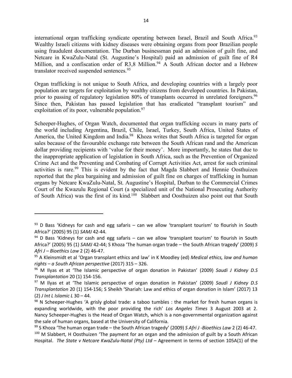international organ trafficking syndicate operating between Israel, Brazil and South Africa.<sup>93</sup> Wealthy Israeli citizens with kidney diseases were obtaining organs from poor Brazilian people using fraudulent documentation. The Durban businessman paid an admission of guilt fine, and Netcare in KwaZulu-Natal (St. Augustine's Hospital) paid an admission of guilt fine of R4 Million, and a confiscation order of R3,8 Million.<sup>94</sup> A South African doctor and a Hebrew translator received suspended sentences.<sup>95</sup>

Organ trafficking is not unique to South Africa, and developing countries with a largely poor population are targets for exploitation by wealthy citizens from developed countries. In Pakistan, prior to passing of regulatory legislation 80% of transplants occurred in unrelated foreigners.<sup>96</sup> Since then, Pakistan has passed legislation that has eradicated "transplant tourism" and exploitation of its poor, vulnerable population. $97$ 

Scheeper-Hughes, of Organ Watch, documented that organ trafficking occurs in many parts of the world including Argentina, Brazil, Chile, Israel, Turkey, South Africa, United States of America, the United Kingdom and India.<sup>98</sup> Khoza writes that South Africa is targeted for organ sales because of the favourable exchange rate between the South African rand and the American dollar providing recipients with 'value for their money'. More importantly, he states that due to the inappropriate application of legislation in South Africa, such as the Prevention of Organized Crime Act and the Preventing and Combating of Corrupt Activities Act, arrest for such criminal activities is rare.<sup>99</sup> This is evident by the fact that Magda Slabbert and Hennie Oosthuizen reported that the plea bargaining and admission of guilt fine on charges of trafficking in human organs by Netcare KwaZulu-Natal, St. Augustine's Hospital, Durban to the Commercial Crimes Court of the Kwazulu Regional Court (a specialized unit of the National Prosecuting Authority of South Africa) was the first of its kind.<sup>100</sup> Slabbert and Oosthuizen also point out that South

 $\overline{a}$ 

 $93$  D Bass 'Kidneys for cash and egg safaris – can we allow 'transplant tourism' to flourish in South Africa?' (2005) 95 (1) *SAMJ* 42-44.

 $94$  D Bass 'Kidneys for cash and egg safaris – can we allow 'transplant tourism' to flourish in South Africa?' (2005) 95 (1) *SAMJ* 42-44; S Khoza 'The human organ trade – the South African tragedy' (2009) *S Afri J – Bioethics Law* 2 (2) 46-47.

<sup>95</sup> A Kleinsmidt et al 'Organ transplant ethics and law' in K Moodley (ed) *Medical ethics, law and human rights – a South African perspective* (2017) 315 – 326.

<sup>96</sup> M Ilyas et at 'The Islamic perspective of organ donation in Pakistan' (2009) *Saudi J Kidney D.S Transplantation* 20 (1) 154-156.

<sup>97</sup> M Ilyas et at 'The Islamic perspective of organ donation in Pakistan' (2009) *Saudi J Kidney D.S Transplantation* 20 (1) 154-156; S Sheikh 'Shariah: Law and ethics of organ donation in Islam' (2017) 13 (2) *J Int L Islamic L* 30 – 44.

 $98$  N Scheeper-Hughes 'A grisly global trade: a taboo tumbles : the market for fresh human organs is expanding worldwide, with the poor providing the rich' *Los Angeles Times* 3 August 2003 at 2. Nancy Scheeper-Hughes is the Head of Organ Watch, which is a non-governmental organization against the sale of human organs, based at the University of California.

<sup>99</sup> S Khoza 'The human organ trade – the South African tragedy' (2009) *S Afri J -Bioethics Law* 2 (2) 46-47.  $100$  M Slabbert, H Oosthuizen 'The payment for an organ and the admission of guilt by a South African Hospital. *The State v Netcare KwaZulu-Natal (Pty) Ltd* – Agreement in terms of section 105A(1) of the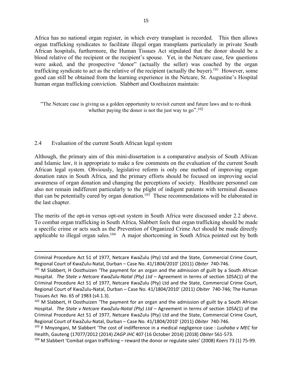Africa has no national organ register, in which every transplant is recorded. This then allows organ trafficking syndicates to facilitate illegal organ transplants particularly in private South African hospitals, furthermore, the Human Tissues Act stipulated that the donor should be a blood relative of the recipient or the recipient's spouse. Yet, in the Netcare case, few questions were asked, and the prospective "donor" (actually the seller) was coached by the organ trafficking syndicate to act as the relative of the recipient (actually the buyer).101 However, some good can still be obtained from the learning experience in the Netcare, St. Augustine's Hospital human organ trafficking conviction. Slabbert and Oosthuizen maintain:

"The Netcare case is giving us a golden opportunity to revisit current and future laws and to re-think whether paying the donor is not the just way to go".<sup>102</sup>

## 2.4 Evaluation of the current South African legal system

 $\overline{a}$ 

Although, the primary aim of this mini-dissertation is a comparative analysis of South African and Islamic law, it is appropriate to make a few comments on the evaluation of the current South African legal system. Obviously, legislative reform is only one method of improving organ donation rates in South Africa, and the primary efforts should be focused on improving social awareness of organ donation and changing the perceptions of society. Healthcare personnel can also not remain indifferent particularly to the plight of indigent patients with terminal diseases that can be potentially cured by organ donation.<sup>103</sup> These recommendations will be elaborated in the last chapter.

The merits of the opt-in versus opt-out system in South Africa were discussed under 2.2 above. To combat organ trafficking in South Africa, Slabbert feels that organ trafficking should be made a specific crime or acts such as the Prevention of Organized Crime Act should be made directly applicable to illegal organ sales.<sup>104</sup> A major shortcoming in South Africa pointed out by both

Criminal Procedure Act 51 of 1977, Netcare KwaZulu (Pty) Ltd and the State, Commercial Crime Court, Regional Court of KwaZulu-Natal, Durban – Case No. 41/1804/2010' (2011) *Obiter* 740-746.

 $101$  M Slabbert, H Oosthuizen 'The payment for an organ and the admission of guilt by a South African Hospital. *The State v Netcare KwaZulu-Natal (Pty) Ltd* – Agreement in terms of section 105A(1) of the Criminal Procedure Act 51 of 1977, Netcare KwaZulu (Pty) Ltd and the State, Commercial Crime Court, Regional Court of KwaZulu-Natal, Durban – Case No. 41/1804/2010' (2011) *Obiter* 740-746; The Human Tissues Act No. 65 of 1983 (s4.1.3).

<sup>&</sup>lt;sup>102</sup> M Slabbert, H Oosthuizen 'The payment for an organ and the admission of guilt by a South African Hospital. *The State v Netcare KwaZulu-Natal (Pty) Ltd* – Agreement in terms of section 105A(1) of the Criminal Procedure Act 51 of 1977, Netcare KwaZulu (Pty) Ltd and the State, Commercial Crime Court, Regional Court of KwaZulu-Natal, Durban – Case No. 41/1804/2010' (2011) *Obiter* 740-746.

<sup>103</sup> F Mnyongani, M Slabbert 'The cost of indifference in a medical negligence case : *Lushaba v MEC* for Health, Gauteng (17077/2012 (2014) *ZAGP JHC* 407 (16 October 2014) (2018) *Obiter* 561-573.

<sup>104</sup> M Slabbert 'Combat organ trafficking – reward the donor or regulate sales' (2008) *Koers* 73 (1) 75-99.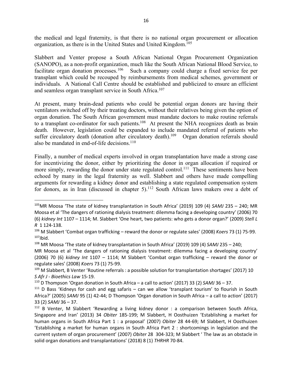the medical and legal fraternity, is that there is no national organ procurement or allocation organization, as there is in the United States and United Kingdom.105

Slabbert and Venter propose a South African National Organ Procurement Organization (SANOPO), as a non-profit organization, much like the South African National Blood Service, to facilitate organ donation processes.<sup>106</sup> Such a company could charge a fixed service fee per transplant which could be recouped by reimbursements from medical schemes, government or individuals. A National Call Centre should be established and publicized to ensure an efficient and seamless organ transplant service in South Africa.107

At present, many brain-dead patients who could be potential organ donors are having their ventilators switched off by their treating doctors, without their relatives being given the option of organ donation. The South African government must mandate doctors to make routine referrals to a transplant co-ordinator for such patients.<sup>108</sup> At present the NHA recognizes death as brain death. However, legislation could be expanded to include mandated referral of patients who suffer circulatory death (donation after circulatory death).<sup>109</sup> Organ donation referrals should also be mandated in end-of-life decisions. $110$ 

Finally, a number of medical experts involved in organ transplantation have made a strong case for incentivizing the donor, either by prioritizing the donor in organ allocation if required or more simply, rewarding the donor under state regulated control.<sup>111</sup> These sentiments have been echoed by many in the legal fraternity as well. Slabbert and others have made compelling arguments for rewarding a kidney donor and establishing a state regulated compensation system for donors, as in Iran (discussed in chapter 5).<sup>112</sup> South African laws makers owe a debt of

 <sup>105</sup>MR Moosa 'The state of kidney transplantation in South Africa' (2019) 109 (4) *SAMJ* 235 – 240; MR Moosa et al 'The dangers of rationing dialysis treatment: dilemma facing a developing country' (2006) 70 (6) *kidney Int* 1107 – 1114; M. Slabbert 'One heart, two patients: who gets a donor organ?' (2009) *Stell L R* 1 124-138.

<sup>106</sup> M Slabbert 'Combat organ trafficking – reward the donor or regulate sales' (2008) *Koers* 73 (1) 75-99.  $107$ Ibid.

<sup>108</sup> MR Moosa 'The state of kidney transplantation in South Africa' (2019) 109 (4) *SAMJ* 235 – 240;

MR Moosa et al 'The dangers of rationing dialysis treatment: dilemma facing a developing country' (2006) 70 (6) *kidney Int* 1107 – 1114; M Slabbert 'Combat organ trafficking – reward the donor or regulate sales' (2008) *Koers* 73 (1) 75-99.

<sup>&</sup>lt;sup>109</sup> M Slabbert, B Venter 'Routine referrals : a possible solution for transplantation shortages' (2017) 10 *S Afr J - Bioethics Law* 15-19.

<sup>110</sup> D Thompson 'Organ donation in South Africa – a call to action' (2017) 33 (2) *SAMJ* 36 – 37.

 $111$  D Bass 'Kidneys for cash and egg safaris – can we allow 'transplant tourism' to flourish in South Africa?' (2005) *SAMJ* 95 (1) 42-44; D Thompson 'Organ donation in South Africa – a call to action' (2017) 33 (2) *SAMJ* 36 – 37.

<sup>&</sup>lt;sup>112</sup> B Venter, M Slabbert 'Rewarding a living kidney donor : a comparison between South Africa, Singapore and Iran' (2013) 34 *Obiter* 185-199; M Slabbert, H Oosthuizen 'Establishing a market for human organs in South Africa Part 1 : a proposal' (2007) *Obiter* 28 44-69; M Slabbert, H Oosthuizen 'Establishing a market for human organs in South Africa Part 2 : shortcomings in legislation and the current system of organ procurement' (2007) *Obiter* 28 304-323; M Slabbert ' The law as an obstacle in solid organ donations and transplantations' (2018) 8 (1) *THRHR* 70-84.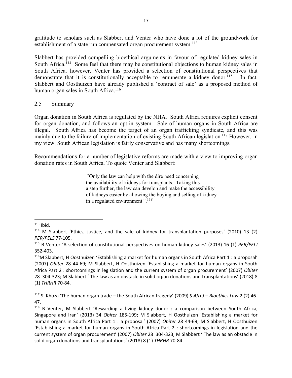gratitude to scholars such as Slabbert and Venter who have done a lot of the groundwork for establishment of a state run compensated organ procurement system.<sup>113</sup>

Slabbert has provided compelling bioethical arguments in favour of regulated kidney sales in South Africa.<sup>114</sup> Some feel that there may be constitutional objections to human kidney sales in South Africa, however, Venter has provided a selection of constitutional perspectives that demonstrate that it is constitutionally acceptable to remunerate a kidney donor.<sup>115</sup> In fact, Slabbert and Oosthuizen have already published a 'contract of sale' as a proposed method of human organ sales in South Africa.<sup>116</sup>

#### 2.5 Summary

Organ donation in South Africa is regulated by the NHA. South Africa requires explicit consent for organ donation, and follows an opt-in system. Sale of human organs in South Africa are illegal. South Africa has become the target of an organ trafficking syndicate, and this was mainly due to the failure of implementation of existing South African legislation.<sup>117</sup> However, in my view, South African legislation is fairly conservative and has many shortcomings.

Recommendations for a number of legislative reforms are made with a view to improving organ donation rates in South Africa. To quote Venter and Slabbert:

> *"*Only the law can help with the dire need concerning the availability of kidneys for transplants. Taking this a step further, the law can develop and make the accessibility of kidneys easier by allowing the buying and selling of kidney in a regulated environment*"*. 118

 $113$  Ibid.

 $114$  M Slabbert 'Ethics, justice, and the sale of kidney for transplantation purposes' (2010) 13 (2) *PER/PELS* 77-105.

<sup>115</sup> B Venter 'A selection of constitutional perspectives on human kidney sales' (2013) 16 (1) *PER/PELJ* 352-403.

<sup>116</sup>M Slabbert, H Oosthuizen 'Establishing a market for human organs in South Africa Part 1 : a proposal' (2007) *Obiter* 28 44-69; M Slabbert, H Oosthuizen 'Establishing a market for human organs in South Africa Part 2 : shortcomings in legislation and the current system of organ procurement' (2007) *Obiter* 28 304-323; M Slabbert ' The law as an obstacle in solid organ donations and transplantations' (2018) 8 (1) *THRHR* 70-84.

<sup>117</sup> S. Khoza 'The human organ trade – the South African tragedy' (2009) *S Afri J – Bioethics Law* 2 (2) 46- 47.

<sup>&</sup>lt;sup>118</sup> B Venter, M Slabbert 'Rewarding a living kidney donor : a comparison between South Africa, Singapore and Iran' (2013) 34 *Obiter* 185-199; M Slabbert, H Oosthuizen 'Establishing a market for human organs in South Africa Part 1 : a proposal' (2007) *Obiter* 28 44-69; M Slabbert, H Oosthuizen 'Establishing a market for human organs in South Africa Part 2 : shortcomings in legislation and the current system of organ procurement' (2007) *Obiter* 28 304-323; M Slabbert ' The law as an obstacle in solid organ donations and transplantations' (2018) 8 (1) *THRHR* 70-84.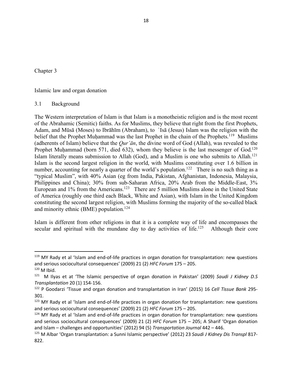Chapter 3

Islamic law and organ donation

#### 3.1 Background

The Western interpretation of Islam is that Islam is a monotheistic religion and is the most recent of the Abrahamic (Semitic) faiths. As for Muslims, they believe that right from the first Prophets, Adam, and Mūsā (Moses) to Ibrāhīm (Abraham), to `Isā (Jesus) Islam was the religion with the belief that the Prophet Muḥammad was the last Prophet in the chain of the Prophets.<sup>119</sup> Muslims (adherents of Islam) believe that the *Qur'ān*, the divine word of God (Allah), was revealed to the Prophet Muḥammad (born 571, died 632), whom they believe is the last messenger of God.<sup>120</sup> Islam literally means submission to Allah (God), and a Muslim is one who submits to Allah.121 Islam is the second largest religion in the world, with Muslims constituting over 1.6 billion in number, accounting for nearly a quarter of the world's population.<sup>122</sup> There is no such thing as a "typical Muslim", with 40% Asian (eg from India, Pakistan, Afghanistan, Indonesia, Malaysia, Philippines and China); 30% from sub-Saharan Africa, 20% Arab from the Middle-East, 3% European and  $1\%$  from the Americans.<sup>123</sup> There are 5 million Muslims alone in the United State of America (roughly one third each Black, White and Asian), with Islam in the United Kingdom constituting the second largest religion, with Muslims forming the majority of the so-called black and minority ethnic (BME) population.<sup>124</sup>

Islam is different from other religions in that it is a complete way of life and encompasses the secular and spiritual with the mundane day to day activities of life.<sup>125</sup> Although their core

<sup>&</sup>lt;sup>119</sup> MY Rady et al 'Islam and end-of-life practices in organ donation for transplantation: new questions and serious sociocultural consequences' (2009) 21 (2) *HFC Forum* 175 – 205.

 $120$  M Ibid.

<sup>121</sup> M Ilyas et at 'The Islamic perspective of organ donation in Pakistan' (2009) *Saudi J Kidney D.S Transplantation* 20 (1) 154-156.

<sup>122</sup> P Goodarzi 'Tissue and organ donation and transplantation in Iran' (2015) 16 *Cell Tissue Bank* 295- 301.

<sup>&</sup>lt;sup>123</sup> MY Rady et al 'Islam and end-of-life practices in organ donation for transplantation: new questions and serious sociocultural consequences' (2009) 21 (2) *HFC Forum* 175 – 205.

<sup>&</sup>lt;sup>124</sup> MY Rady et al 'Islam and end-of-life practices in organ donation for transplantation: new questions and serious sociocultural consequences' (2009) 21 (2) *HFC Forum* 175 – 205; A Sharif 'Organ donation and Islam – challenges and opportunities' (2012) 94 (5) *Transportation Journal* 442 – 446.

<sup>125</sup> M Albar 'Organ transplantation: a Sunni Islamic perspective' (2012) 23 *Saudi J Kidney Dis Transpl* 817- 822.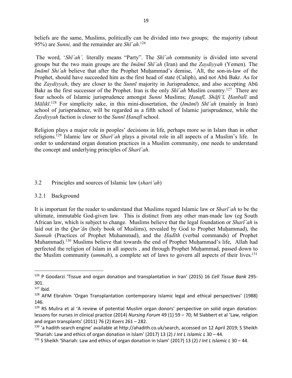beliefs are the same, Muslims, politically can be divided into two groups; the majority (about 95%) are *Sunni,* and the remainder are *Shī`ah*. 126

The word, '*Shī`ah',* literally means "Party". The *Shī`ah* community is divided into several groups but the two main groups are the *Imāmī Shī`ah* (Iran) and the *Zaydiyyah* (Yemen). The *Imāmī Shi'ah* believe that after the Prophet Muḥammad's demise, `Alī, the son-in-law of the Prophet, should have succeeded him as the first head of state (Caliph), and not Abū Bakr. As for the *Zaydiyyah*, they are closer to the *Sunnī* majority in Jurisprudence, and also accepting Abū Bakr as the first successor of the Prophet. Iran is the only *Shī`ah* Muslim country.127 There are four schools of Islamic jurisprudence amongst *Sunni* Muslims; *Ḥanafī, Shāfi`ī, Ḥanbalī* and *Mālikī*. <sup>128</sup> For simplicity sake, in this mini-dissertation, the (*Imāmī*) *Shī`ah* (mainly in Iran) school of jurisprudence, will be regarded as a fifth school of Islamic jurisprudence, while the *Zaydiyyah* faction is closer to the *Sunnī Ḥanafī* school.

Religion plays a major role in peoples' decisions in life, perhaps more so in Islam than in other religions.129 Islamic law or *Sharī`ah* plays a pivotal role in all aspects of a Muslim's life. In order to understand organ donation practices in a Muslim community, one needs to understand the concept and underlying principles of *Sharī`ah*.

## 3.2 Principles and sources of Islamic law (*shari'ah*)

#### 3.2.1 Background

It is important for the reader to understand that Muslims regard Islamic law or *Sharī`ah* to be the ultimate, immutable God-given law. This is distinct from any other man-made law (eg South African law, which is subject to change. Muslims believe that the legal foundation or *Sharī`ah* is laid out in the *Our'ān* (holy book of Muslims), revealed by God to Prophet Muhammad), the *Sunnah* (Practices of Prophet Muhammad), and the *Ḥadīth* (verbal commands) of Prophet Muhammad).<sup>130</sup> Muslims believe that towards the end of Prophet Muhammad's life, Allah had perfected the religion of Islam in all aspects, and through Prophet Muhammad, passed down to the Muslim community (*ummah*), a complete set of laws to govern all aspects of their lives.131

 <sup>126</sup> P Goodarzi 'Tissue and organ donation and transplantation in Iran' (2015) 16 *Cell Tissue Bank* 295- 301.

 $127$  Ibid.

<sup>128</sup> AFM Ebrahim 'Organ Transplantation contemporary Islamic legal and ethical perspectives' (1988) 146.

<sup>&</sup>lt;sup>129</sup> RS Mulira et al 'A review of potential Muslim organ donors' perspective on solid organ donation: lessons for nurses in clinical practice (2014) *Nursing Forum* 49 (1) 59 – 70; M Slabbert et al 'Law, religion and organ transplants' (2011) 76 (2) *Koers* 261 – 282.

<sup>130 &#</sup>x27;a hadith search engine' available at http://ahadith.co.uk/search, accessed on 12 April 2019; S Sheikh 'Shariah: Law and ethics of organ donation in Islam' (2017) 13 (2) *J Int L Islamic L* 30 – 44.

<sup>131</sup> S Sheikh 'Shariah: Law and ethics of organ donation in Islam' (2017) 13 (2) *J Int L Islamic L* 30 – 44.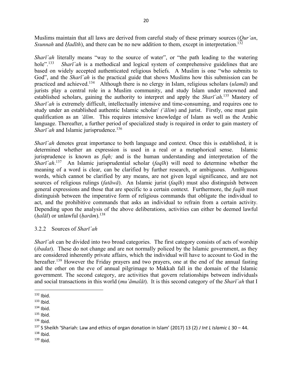Muslims maintain that all laws are derived from careful study of these primary sources (*Qur'an*, *Ssunnah* and *Hadīth*), and there can be no new addition to them, except in interpretation.<sup>132</sup>

*Sharī*<sup>'</sup>*ah* literally means "way to the source of water", or "the path leading to the watering hole".<sup>133</sup> *Sharī `ah* is a methodical and logical system of comprehensive guidelines that are based on widely accepted authenticated religious beliefs. A Muslim is one "who submits to God", and the *Sharī`ah* is the practical guide that shows Muslims how this submission can be practiced and achieved.134 Although there is no clergy in Islam, religious scholars (*ulamā*) and jurists play a central role in a Muslim community, and study Islam under renowned and established scholars, gaining the authority to interpret and apply the *Sharī`ah*. <sup>135</sup> Mastery of *Sharī*<sup>'</sup>*ah* is extremely difficult, intellectually intensive and time-consuming, and requires one to study under an established authentic Islamic scholar/ *('ālim*) and jurist. Firstly, one must gain qualification as an *'ālim*. This requires intensive knowledge of Islam as well as the Arabic language. Thereafter, a further period of specialized study is required in order to gain mastery of *Sharī*<sup>*`ah*</sup> and Islamic jurisprudence.<sup>136</sup>

*Sharī`ah* denotes great importance to both language and context. Once this is established, it is determined whether an expression is used in a real or a metaphorical sense. Islamic jurisprudence is known as *fiqh;* and is the human understanding and interpretation of the *Sharī`ah*. 137 An Islamic jurisprudential scholar (*faqīh*) will need to determine whether the meaning of a word is clear, can be clarified by further research, or ambiguous. Ambiguous words, which cannot be clarified by any means, are not given legal significance, and are not sources of religious rulings (*fatāwā*). An Islamic jurist (*faqīh*) must also distinguish between general expressions and those that are specific to a certain context. Furthermore, the *faqīh* must distinguish between the imperative form of religious commands that obligate the individual to act, and the prohibitive commands that asks an individual to refrain from a certain activity. Depending upon the analysis of the above deliberations, activities can either be deemed lawful (*ḥalāl*) or unlawful (*ḥarām*).138

## 3.2.2 Sources of *Sharī`ah*

*Sharī*<sup>'</sup>*ah* can be divided into two broad categories. The first category consists of acts of worship (*ibadat*). These do not change and are not normally policed by the Islamic government, as they are considered inherently private affairs, which the individual will have to account to God in the hereafter.<sup>139</sup> However the Friday prayers and two prayers, one at the end of the annual fasting and the other on the eve of annual pilgrimage to Makkah fall in the domain of the Islamic government. The second category, are activities that govern relationships between individuals and social transactions in this world (*mu`āmalāt*). It is this second category of the *Sharī`ah* that I

- $134$  Ibid.
- $135$  Ibid.
- $136$  Ibid.

- $138$  Ibid.
- $139$  Ibid.

 $132$  Ibid.

 $133$  Ibid.

<sup>137</sup> S Sheikh 'Shariah: Law and ethics of organ donation in Islam' (2017) 13 (2) *J Int L Islamic L* 30 – 44.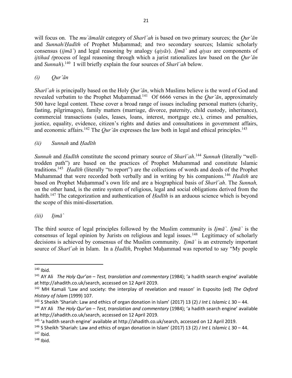will focus on. The *mu`āmalāt* category of *Sharī`ah* is based on two primary sources; the *Qur'ān*  and *Sunnah*/*Hadīth* of Prophet Muḥammad; and two secondary sources; Islamic scholarly consensus (*ijmā`*) and legal reasoning by analogy (*qiyās*). *Ijmā`* and *qiyas* are components of *ijtihad (*process of legal reasoning through which a jurist rationalizes law based on the *Qur'ān*  and *Sunnah*). 140 I will briefly explain the four sources of *Sharī`ah* below.

## *(i) Qur'ān*

*Sharī`ah* is principally based on the Holy *Qur'ān*, which Muslims believe is the word of God and revealed verbatim to the Prophet Muḥammad.<sup>141</sup> Of 6666 verses in the *Qur'ān*, approximately 500 have legal content. These cover a broad range of issues including personal matters (charity, fasting, pilgrimages), family matters (marriage, divorce, paternity, child custody, inheritance), commercial transactions (sales, leases, loans, interest, mortgage etc.), crimes and penalties, justice, equality, evidence, citizen's rights and duties and consultations in government affairs, and economic affairs.<sup>142</sup> The *Qur'ān* expresses the law both in legal and ethical principles.<sup>143</sup>

## *(ii) Sunnah* and *Ḥadīth*

*Sunnah* and *Ḥadīth* constitute the second primary source of *Sharī`ah*. <sup>144</sup> *Sunnah* (literally "welltrodden path") are based on the practices of Prophet Muhammad and constitute Islamic traditions.145 *Ḥadīth* (literally "to report") are the collections of words and deeds of the Prophet Muhammad that were recorded both verbally and in writing by his companions. <sup>146</sup> *Hadith* are based on Prophet Muḥammad's own life and are a biographical basis of *Sharī`ah*. The *Sunnah,* on the other hand, is the entire system of religious, legal and social obligations derived from the hadith.<sup>147</sup> The categorization and authentication of *Hadīth* is an arduous science which is beyond the scope of this mini-dissertation.

## *(iii) Ijmā`*

The third source of legal principles followed by the Muslim community is *Ijmā`*. *Ijmā`* is the consensus of legal opinion by Jurists on religious and legal issues.<sup>148</sup> Legitimacy of scholarly decisions is achieved by consensus of the Muslim community. *Ijmā`* is an extremely important source of *Sharī`ah* in Islam. In a *Ḥadīth*, Prophet Muḥammad was reported to say "My people

 $140$  Ibid.

<sup>141</sup> AY Ali *The Holy Qur'an – Test, translation and commentary* (1984); 'a hadith search engine' available at http://ahadith.co.uk/search, accessed on 12 April 2019.

<sup>142</sup> MH Kamali 'Law and society: the interplay of revelation and reason' in Esposito (ed) *The Oxford History of Islam* (1999) 107.

<sup>143</sup> S Sheikh 'Shariah: Law and ethics of organ donation in Islam' (2017) 13 (2) *J Int L Islamic L* 30 – 44.

<sup>144</sup> AY Ali *The Holy Qur'an – Test, translation and commentary* (1984); 'a hadith search engine' available at http://ahadith.co.uk/search, accessed on 12 April 2019.

<sup>145</sup> 'a hadith search engine' available at http://ahadith.co.uk/search, accessed on 12 April 2019.

<sup>146</sup> S Sheikh 'Shariah: Law and ethics of organ donation in Islam' (2017) 13 (2) *J Int L Islamic L* 30 – 44.

 $147$  Ibid.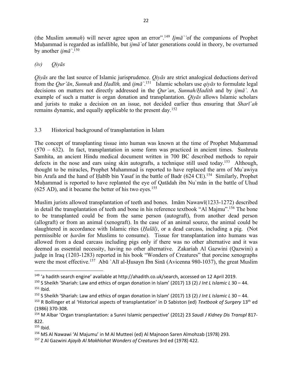(the Muslim *ummah*) will never agree upon an error".149 *Ijmā`'*of the companions of Prophet Muhammad is regarded as infallible, but *ijmā* `of later generations could in theory, be overturned by another *ijmā`*. 150

## *(iv) Qiyās*

*Qiyās* are the last source of Islamic jurisprudence. *Qiyās* are strict analogical deductions derived from the *Qur'ān*, *Sunnah* and *Ḥadīth,* and *ijmā`*. 151 Islamic scholars use *qiyās* to formulate legal decisions on matters not directly addressed in the *Qur'an*, *Sunnah/Ḥadith* and by *ijmā`*. An example of such a matter is organ donation and transplantation. *Qiyās* allows Islamic scholars and jurists to make a decision on an issue, not decided earlier thus ensuring that *Sharī`ah* remains dynamic, and equally applicable to the present day.152

## 3.3 Historical background of transplantation in Islam

The concept of transplanting tissue into human was known at the time of Prophet Muhammad (570 – 632). In fact, transplantation in some form was practiced in ancient times. Sushruta Samhita, an ancient Hindu medical document written in 700 BC described methods to repair defects in the nose and ears using skin autografts, a technique still used today.<sup>153</sup> Although, thought to be miracles, Prophet Muhammad is reported to have replaced the arm of Mu`awiya bin Arafa and the hand of Habīb bin Yasaf in the battle of Badr (624 CE).<sup>154</sup> Similarly, Prophet Muhammad is reported to have replanted the eye of Oatadah ibn Nu'man in the battle of Uhud  $(625$  AD), and it became the better of his two eyes.<sup>155</sup>

Muslim jurists allowed transplantation of teeth and bones. Imām Nawawī(1233-1272) described in detail the transplantation of teeth and bone in his reference textbook "Al Majmu". <sup>156</sup> The bone to be transplanted could be from the same person (autograft), from another dead person (allograft) or from an animal (xenograft). In the case of an animal source, the animal could be slaughtered in accordance with Islamic rites (*Ḥalāl)*, or a dead carcass, including a pig. (Not permissible or *ḥarām* for Muslims to consume). Tissue for transplantation into humans was allowed from a dead carcass including pigs only if there was no other alternative and it was deemed as essential necessity, having no other alternative. Zakariah Al Gazwini (Qazwini) a judge in Iraq (1203-1283) reported in his book "Wonders of Creatures" that porcine xenographs were the most effective.<sup>157</sup> Abū `Alī al-Ḥusayn Ibn Sinā (Avicenna 980-1037), the great Muslim

<sup>&</sup>lt;sup>149</sup> 'a hadith search engine' available at http://ahadith.co.uk/search, accessed on 12 April 2019.

<sup>150</sup> S Sheikh 'Shariah: Law and ethics of organ donation in Islam' (2017) 13 (2) *J Int L Islamic L* 30 – 44.  $151$  Ibid.

<sup>152</sup> S Sheikh 'Shariah: Law and ethics of organ donation in Islam' (2017) 13 (2) *J Int L Islamic L* 30 – 44.

<sup>153</sup> R Bollinger et al 'Historical aspects of transplantation' in D Sabiston (ed) *Textbook of Surgery* 13th ed (1986) 370-308.

<sup>154</sup> M Albar 'Organ transplantation: a Sunni Islamic perspective' (2012) 23 *Saudi J Kidney Dis Transpl* 817- 822.

 $155$  Ibid.

<sup>156</sup> MS Al Nawawi 'Al Majumu' in M Al Mutteei (ed) Al Majnoon Saren Almohzab (1978) 293.

<sup>157</sup> Z Al Gazwini *Ajayib Al Makhlohat Wonders of Creatures* 3rd ed (1978) 422.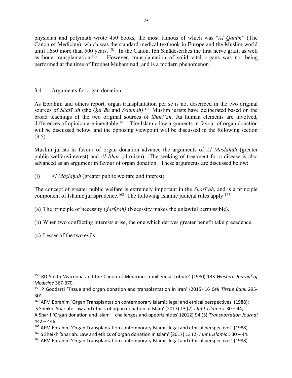physician and polymath wrote 450 books, the most famous of which was "*Al Qanūn*" (The Canon of Medicine), which was the standard medical textbook in Europe and the Muslim world until 1650 more than 500 years.<sup>158</sup> In the Canon, Ibn Sinadescribes the first nerve graft, as well as bone transplantation.159 However, transplantation of solid vital organs was not being performed at the time of Prophet Muḥammad, and is a modern phenomenon.

## 3.4 Arguments for organ donation

As Ebrahim and others report, organ transplantation per se is not described in the two original sources of *Sharī`ah* (the *Qur'ān* and *Ssunnah)*. <sup>160</sup> Muslim jurists have deliberated based on the broad teachings of the two original sources of *Sharī`ah*. As human elements are involved, differences of opinion are inevitable.<sup>161</sup> The Islamic law arguments in favour of organ donation will be discussed below, and the opposing viewpoint will be discussed in the following section  $(3.5)$ .

Muslim jurists in favour of organ donation advance the arguments of *Al Maslahah* (greater public welfare/interest) and *Al Īthār* (altruism). The seeking of treatment for a disease is also advanced as an argument in favour of organ donation. These arguments are discussed below:

(i) *Al Maslahah* (greater public welfare and interest).

The concept of greater public welfare is extremely important in the *Sharī`ah*, and is a principle component of Islamic jurisprudence.<sup>162</sup> The following Islamic judicial rules apply:<sup>163</sup>

- (a) The principle of necessity (*ḍarūrah)* (Necessity makes the unlawful permissible).
- (b) When two conflicting interests arise, the one which derives greater benefit take precedence.
- (c) Lesser of the two evils.

 <sup>158</sup> RD Smith 'Avicenna and the Canon of Medicine: a millennial tribute' (1980) 133 *Western Journal of Medicine* 367-370.

<sup>159</sup> P Goodarzi 'Tissue and organ donation and transplantation in Iran' (2015) 16 *Cell Tissue Bank* 295- 301.

<sup>&</sup>lt;sup>160</sup> AFM Ebrahim 'Organ Transplantation contemporary Islamic legal and ethical perspectives' (1988);

S Sheikh 'Shariah: Law and ethics of organ donation in Islam' (2017) 13 (2) *J Int L Islamic L* 30 – 44;

A Sharif 'Organ donation and Islam – challenges and opportunities' (2012) 94 (5) *Transportation Journal*  $442 - 446.$ 

<sup>&</sup>lt;sup>161</sup> AFM Ebrahim 'Organ Transplantation contemporary Islamic legal and ethical perspectives' (1988).

<sup>162</sup> S Sheikh 'Shariah: Law and ethics of organ donation in Islam' (2017) 13 (2) *J Int L Islamic L* 30 – 44.

<sup>&</sup>lt;sup>163</sup> AFM Ebrahim 'Organ Transplantation contemporary Islamic legal and ethical perspectives' (1988).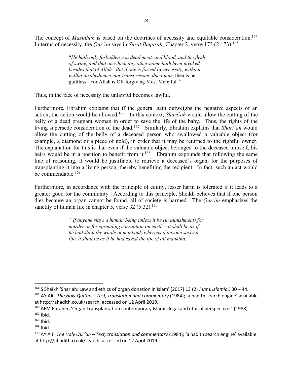The concept of *Maslahah* is based on the doctrines of necessity and equitable consideration.<sup>164</sup> In terms of necessity, the *Qur'ān* says in *Sūrat Baqarah*, Chapter 2, verse 173 (2:173):165

> "*He hath only forbidden you dead meat, and blood, and the flesh of swine, and that on which any other name hath been invoked besides that of Allah. But if one is forced by necessity, without willful disobedience, nor transgressing due limits*, then is he guiltless. For Allah is Oft-forgiving Most Merciful*."*

Thus, in the face of necessity the unlawful becomes lawful.

Furthermore. Ebrahim explains that if the general gain outweighs the negative aspects of an action, the action would be allowed.166 In this context, *Sharī`ah* would allow the cutting of the belly of a dead pregnant woman in order to save the life of the baby. Thus, the rights of the living supersede consideration of the dead.167 Similarly, Ebrahim explains that *Sharī`ah* would allow the cutting of the belly of a deceased person who swallowed a valuable object (for example, a diamond or a piece of gold), in order that it may be returned to the rightful owner. The explanation for this is that even if the valuable object belonged to the deceased himself, his heirs would be in a position to benefit from it.<sup>168</sup> Ebrahim expounds that following the same line of reasoning, it would be justifiable to retrieve a deceased's organ, for the purposes of transplanting it into a living person, thereby benefiting the recipient. In fact, such an act would be commendable.169

Furthermore, in accordance with the principle of equity, lesser harm is tolerated if it leads to a greater good for the community. According to this principle, Sheikh believes that if one person dies because an organ cannot be found, all of society is harmed. The *Qur'ān* emphasizes the sanctity of human life in chapter 5, verse  $32 (5:32).^{170}$ 

> "*If anyone slays a human being unless it be (in punishment) for murder or for spreading corruption on earth – it shall be as if he had slain the whole of mankind; whereas if anyone saves a life, it shall be as if he had saved the life of all mankind."*

 <sup>164</sup> S Sheikh 'Shariah: Law and ethics of organ donation in Islam' (2017) 13 (2) *J Int L Islamic L* 30 – 44.

<sup>165</sup> AY Ali *The Holy Qur'an – Test, translation and commentary* (1984); 'a hadith search engine' available at http://ahadith.co.uk/search, accessed on 12 April 2019.

<sup>&</sup>lt;sup>166</sup> AFM Ebrahim 'Organ Transplantation contemporary Islamic legal and ethical perspectives' (1988).  $167$  Ibid.

 $168$  Ibid.

 $169$  Ibid.

<sup>170</sup> AY Ali *The Holy Qur'an – Test, translation and commentary* (1984); 'a hadith search engine' available at http://ahadith.co.uk/search, accessed on 12 April 2019.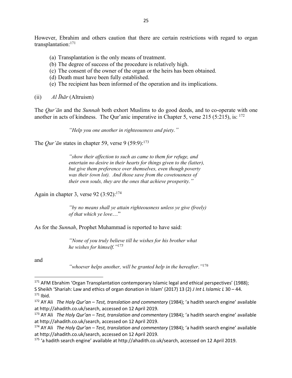However, Ebrahim and others caution that there are certain restrictions with regard to organ transplantation:171

- (a) Transplantation is the only means of treatment.
- (b) The degree of success of the procedure is relatively high.
- (c) The consent of the owner of the organ or the heirs has been obtained.
- (d) Death must have been fully established.
- (e) The recipient has been informed of the operation and its implications.
- (ii) *Al Īhār* (Altruism)

The *Qur'ān* and the *Sunnah* both exhort Muslims to do good deeds, and to co-operate with one another in acts of kindness. The Qur'anic imperative in Chapter 5, verse 215 (5:215), is:  $172$ 

*"Help you one another in righteousness and piety."*

The *Our'* $\bar{a}$ <sup>n</sup> states in chapter 59, verse 9 (59:9):<sup>173</sup>

*"show their affection to such as came to them for refuge, and entertain no desire in their hearts for things given to the (latter), but give them preference over themselves, even though poverty was their (own lot). And those save from the covetousness of their own souls, they are the ones that achieve prosperity."*

Again in chapter 3, verse 92  $(3:92)$ :<sup>174</sup>

*"by no means shall ye attain righteousness unless ye give (freely) of that which ye love*…"

As for the *Sunnah*, Prophet Muhammad is reported to have said:

*"None of you truly believe till he wishes for his brother what he wishes for himself."175*

and

*<sup>&</sup>quot;whoever helps another, will be granted help in the hereafter*.*"176*

<sup>171</sup> AFM Ebrahim 'Organ Transplantation contemporary Islamic legal and ethical perspectives' (1988); S Sheikh 'Shariah: Law and ethics of organ donation in Islam' (2017) 13 (2) *J Int L Islamic L* 30 – 44. 171 Ibid.

<sup>172</sup> AY Ali *The Holy Qur'an – Test, translation and commentary* (1984); 'a hadith search engine' available at http://ahadith.co.uk/search, accessed on 12 April 2019.

<sup>173</sup> AY Ali *The Holy Qur'an – Test, translation and commentary* (1984); 'a hadith search engine' available at http://ahadith.co.uk/search, accessed on 12 April 2019.

<sup>174</sup> AY Ali *The Holy Qur'an – Test, translation and commentary* (1984); 'a hadith search engine' available at http://ahadith.co.uk/search, accessed on 12 April 2019.

<sup>175</sup> 'a hadith search engine' available at http://ahadith.co.uk/search, accessed on 12 April 2019.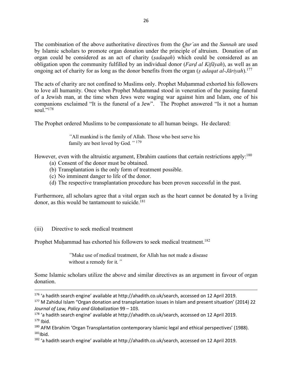The combination of the above authoritative directives from the *Qur'an* and the *Sunnah* are used by Islamic scholars to promote organ donation under the principle of altruism. Donation of an organ could be considered as an act of charity (*ṣadaqah*) which could be considered as an obligation upon the community fulfilled by an individual donor (*Farḍ al Kifāyah*), as well as an ongoing act of charity for as long as the donor benefits from the organ (*ṣ adaqat al-Jāriyah*).177

The acts of charity are not confined to Muslims only. Prophet Muḥammad exhorted his followers to love all humanity. Once when Prophet Muhammad stood in veneration of the passing funeral of a Jewish man, at the time when Jews were waging war against him and Islam, one of his companions exclaimed "It is the funeral of a Jew". The Prophet answered "Is it not a human soul $^{2178}$ 

The Prophet ordered Muslims to be compassionate to all human beings. He declared:

*"*All mankind is the family of Allah. Those who best serve his family are best loved by God*."* 179

However, even with the altruistic argument, Ebrahim cautions that certain restrictions apply:<sup>180</sup>

- (a) Consent of the donor must be obtained.
- (b) Transplantation is the only form of treatment possible.
- (c) No imminent danger to life of the donor.
- (d) The respective transplantation procedure has been proven successful in the past.

Furthermore, all scholars agree that a vital organ such as the heart cannot be donated by a living donor, as this would be tantamount to suicide. 181

#### (iii) Directive to seek medical treatment

Prophet Muhammad has exhorted his followers to seek medical treatment.<sup>182</sup>

*"*Make use of medical treatment, for Allah has not made a disease without a remedy for it*."*

Some Islamic scholars utilize the above and similar directives as an argument in favour of organ donation.

<sup>180</sup> AFM Ebrahim 'Organ Transplantation contemporary Islamic legal and ethical perspectives' (1988).  $181$ Ibid.

 <sup>176</sup> 'a hadith search engine' available at http://ahadith.co.uk/search, accessed on 12 April 2019.

<sup>177</sup> M Zahidul Islam "Organ donation and transplantation issues in Islam and present situation' (2014) 22 *Journal of Law, Policy and Globalization* 99 – 103.

<sup>178</sup> 'a hadith search engine' available at http://ahadith.co.uk/search, accessed on 12 April 2019.  $179$  Ibid.

<sup>&</sup>lt;sup>182</sup> 'a hadith search engine' available at http://ahadith.co.uk/search, accessed on 12 April 2019.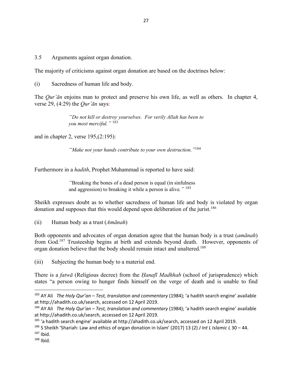3.5 Arguments against organ donation.

The majority of criticisms against organ donation are based on the doctrines below:

(i) Sacredness of human life and body.

The *Qur'ān* enjoins man to protect and preserve his own life, as well as others. In chapter 4, verse 29, (4:29) the *Qur'ān* says:

> *"Do not kill or destroy yourselves. For verily Allah has been to you most merciful."* <sup>183</sup>

and in chapter 2, verse 195,(2:195):

*"Make not your hands contribute to your own destruction."*<sup>184</sup>

Furthermore in a *hadith*, Prophet Muhammad is reported to have said:

*"*Breaking the bones of a dead person is equal (in sinfulness and aggression) to breaking it while a person is alive*."* <sup>185</sup>

Sheikh expresses doubt as to whether sacredness of human life and body is violated by organ donation and supposes that this would depend upon deliberation of the jurist.<sup>186</sup>

(ii) Human body as a trust (*Amānah*)

Both opponents and advocates of organ donation agree that the human body is a trust (*amānah*) from God.187 Trusteeship begins at birth and extends beyond death. However, opponents of organ donation believe that the body should remain intact and unaltered.188

(iii) Subjecting the human body to a material end.

There is a *fatwā* (Religious decree) from the *Ḥanafī Madhhab* (school of jurisprudence) which states "a person owing to hunger finds himself on the verge of death and is unable to find

 <sup>183</sup> AY Ali *The Holy Qur'an – Test, translation and commentary* (1984); 'a hadith search engine' available at http://ahadith.co.uk/search, accessed on 12 April 2019.

<sup>184</sup> AY Ali *The Holy Qur'an – Test, translation and commentary* (1984); 'a hadith search engine' available at http://ahadith.co.uk/search, accessed on 12 April 2019.

<sup>&</sup>lt;sup>185</sup> 'a hadith search engine' available at http://ahadith.co.uk/search, accessed on 12 April 2019.

<sup>186</sup> S Sheikh 'Shariah: Law and ethics of organ donation in Islam' (2017) 13 (2) *J Int L Islamic L* 30 – 44.  $187$  Ibid.

 $188$  Ibid.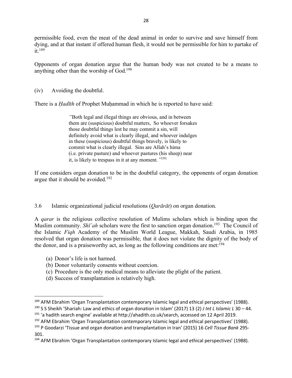permissible food, even the meat of the dead animal in order to survive and save himself from dying, and at that instant if offered human flesh, it would not be permissible for him to partake of  $it<sup>189</sup>$ 

Opponents of organ donation argue that the human body was not created to be a means to anything other than the worship of God.190

(iv) Avoiding the doubtful.

There is a *Hadīth* of Prophet Muhammad in which he is reported to have said:

*"*Both legal and illegal things are obvious, and in between them are (suspicious) doubtful matters, So whoever forsakes those doubtful things lest he may commit a sin, will definitely avoid what is clearly illegal, and whoever indulges in these (suspicious) doubtful things bravely, is likely to commit what is clearly illegal. Sins are Allah's hima (i.e. private pasture) and whoever pastures (his sheep) near it, is likely to trespass in it at any moment*."*191

If one considers organ donation to be in the doubtful category, the opponents of organ donation argue that it should be avoided.<sup>192</sup>

#### 3.6 Islamic organizational judicial resolutions (*Qarārāt*) on organ donation.

A *qarar* is the religious collective resolution of Mulims scholars which is binding upon the Muslim community. *Sh*<sup>*i*</sup> ah scholars were the first to sanction organ donation.<sup>193</sup> The Council of the Islamic *Fiqh* Academy of the Muslim World League, Makkah, Saudi Arabia, in 1985 resolved that organ donation was permissible, that it does not violate the dignity of the body of the donor, and is a praiseworthy act, as long as the following conditions are met:  $194$ 

- (a) Donor's life is not harmed.
- (b) Donor voluntarily consents without coercion.
- (c) Procedure is the only medical means to alleviate the plight of the patient.
- (d) Success of transplantation is relatively high.

 <sup>189</sup> AFM Ebrahim 'Organ Transplantation contemporary Islamic legal and ethical perspectives' (1988).

<sup>190</sup> S S Sheikh 'Shariah: Law and ethics of organ donation in Islam' (2017) 13 (2) *J Int L Islamic L* 30 – 44.

<sup>191</sup> 'a hadith search engine' available at http://ahadith.co.uk/search, accessed on 12 April 2019.

<sup>192</sup> AFM Ebrahim 'Organ Transplantation contemporary Islamic legal and ethical perspectives' (1988).

<sup>193</sup> P Goodarzi 'Tissue and organ donation and transplantation in Iran' (2015) 16 *Cell Tissue Bank* 295- 301.

<sup>&</sup>lt;sup>194</sup> AFM Ebrahim 'Organ Transplantation contemporary Islamic legal and ethical perspectives' (1988).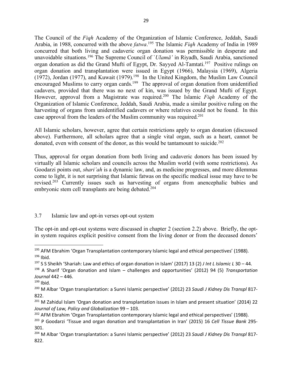The Council of the *Fiqh* Academy of the Organization of Islamic Conference, Jeddah, Saudi Arabia, in 1988, concurred with the above *fatwa*. <sup>195</sup> The Islamic *Fiqh* Academy of India in 1989 concurred that both living and cadaveric organ donation was permissible in desperate and unavoidable situations.196 The Supreme Council of `*Ulamā'* in Riyadh, Saudi Arabia, sanctioned organ donation as did the Grand Mufti of Egypt, Dr. Sayyed Al-Tamtati.<sup>197</sup> Positive rulings on organ donation and transplantation were issued in Egypt (1966), Malaysia (1969), Algeria (1972), Jordan (1977), and Kuwait (1979).<sup>198</sup> In the United Kingdom, the Muslim Law Council encouraged Muslims to carry organ cards.<sup>199</sup> The approval of organ donation from unidentified cadavers, provided that there was no next of kin, was issued by the Grand Mufti of Egypt. However, approval from a Magistrate was required.200 The Islamic *Fiqh* Academy of the Organization of Islamic Conference, Jeddah, Saudi Arabia, made a similar positive ruling on the harvesting of organs from unidentified cadavers or where relatives could not be found. In this case approval from the leaders of the Muslim community was required.201

All Islamic scholars, however, agree that certain restrictions apply to organ donation (discussed above). Furthermore, all scholars agree that a single vital organ, such as a heart, cannot be donated, even with consent of the donor, as this would be tantamount to suicide.<sup>202</sup>

Thus, approval for organ donation from both living and cadaveric donors has been issued by virtually all Islamic scholars and councils across the Muslim world (with some restrictions). As Goodarzi points out, *shari'ah* is a dynamic law, and, as medicine progresses, and more dilemmas come to light, it is not surprising that Islamic fatwas on the specific medical issue may have to be revised.203 Currently issues such as harvesting of organs from anencephalic babies and embryonic stem cell transplants are being debated.<sup>204</sup>

## 3.7 Islamic law and opt-in verses opt-out system

The opt-in and opt-out systems were discussed in chapter 2 (section 2.2) above. Briefly, the optin system requires explicit positive consent from the living donor or from the deceased donors'

<sup>&</sup>lt;sup>195</sup> AFM Ebrahim 'Organ Transplantation contemporary Islamic legal and ethical perspectives' (1988).  $196$  Ibid.

<sup>197</sup> S S Sheikh 'Shariah: Law and ethics of organ donation in Islam' (2017) 13 (2) *J Int L Islamic L* 30 – 44.

<sup>198</sup> A Sharif 'Organ donation and Islam – challenges and opportunities' (2012) 94 (5) *Transportation Journal* 442 – 446.

 $199$  Ibid.

<sup>200</sup> M Albar 'Organ transplantation: a Sunni Islamic perspective' (2012) 23 *Saudi J Kidney Dis Transpl* 817- 822.

<sup>&</sup>lt;sup>201</sup> M Zahidul Islam 'Organ donation and transplantation issues in Islam and present situation' (2014) 22 *Journal of Law, Policy and Globalization* 99 – 103.

<sup>&</sup>lt;sup>202</sup> AFM Ebrahim 'Organ Transplantation contemporary Islamic legal and ethical perspectives' (1988).

<sup>203</sup> P Goodarzi 'Tissue and organ donation and transplantation in Iran' (2015) 16 *Cell Tissue Bank* 295- 301.

<sup>204</sup> M Albar 'Organ transplantation: a Sunni Islamic perspective' (2012) 23 *Saudi J Kidney Dis Transpl* 817- 822.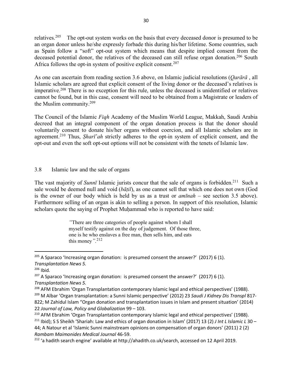relatives.205 The opt-out system works on the basis that every deceased donor is presumed to be an organ donor unless he/she expressly forbade this during his/her lifetime. Some countries, such as Spain follow a "soft" opt-out system which means that despite implied consent from the deceased potential donor, the relatives of the deceased can still refuse organ donation.<sup>206</sup> South Africa follows the opt-in system of positive explicit consent.<sup>207</sup>

As one can ascertain from reading section 3.6 above, on Islamic judicial resolutions (*Qarārā* , all Islamic scholars are agreed that explicit consent of the living donor or the deceased's relatives is imperative.208 There is no exception for this rule, unless the deceased is unidentified or relatives cannot be found, but in this case, consent will need to be obtained from a Magistrate or leaders of the Muslim community.209

The Council of the Islamic *Fiqh* Academy of the Muslim World League, Makkah, Saudi Arabia decreed that an integral component of the organ donation process is that the donor should voluntarily consent to donate his/her organs without coercion, and all Islamic scholars are in agreement.<sup>210</sup> Thus, *Sharī*<sup>'</sup>*ah* strictly adheres to the opt-in system of explicit consent, and the opt-out and even the soft opt-out options will not be consistent with the tenets of Islamic law.

## 3.8 Islamic law and the sale of organs

The vast majority of *Sunnī* Islamic jurists concur that the sale of organs is forbidden.<sup>211</sup> Such a sale would be deemed null and void (*bāṭil*), as one cannot sell that which one does not own (God is the owner of our body which is held by us as a trust or *amīnah* – see section 3.5 above). Furthermore selling of an organ is akin to selling a person. In support of this resolution, Islamic scholars quote the saying of Prophet Muhammad who is reported to have said:

> *"*There are three categories of people against whom I shall myself testify against on the day of judgement. Of those three, one is he who enslaves a free man, then sells him, and eats this money*".*212

<sup>208</sup> AFM Ebrahim 'Organ Transplantation contemporary Islamic legal and ethical perspectives' (1988). <sup>209</sup> M Albar 'Organ transplantation: a Sunni Islamic perspective' (2012) 23 *Saudi J Kidney Dis Transpl* 817- 822; M Zahidul Islam "Organ donation and transplantation issues in Islam and present situation' (2014) 22 *Journal of Law, Policy and Globalization* 99 – 103.

 $205$  A Sparaco 'Increasing organ donation: is presumed consent the answer?' (2017) 6 (1). *Transplantation News 5.*

<sup>206</sup> Ibid*.*

 $207$  A Sparaco 'Increasing organ donation: is presumed consent the answer?' (2017) 6 (1). *Transplantation News 5.*

<sup>&</sup>lt;sup>210</sup> AFM Ebrahim 'Organ Transplantation contemporary Islamic legal and ethical perspectives' (1988). <sup>211</sup> Ibid); S S Sheikh 'Shariah: Law and ethics of organ donation in Islam' (2017) 13 (2) *J Int L Islamic L* 30 – 44; A Natour et al 'Islamic Sunni mainstream opinions on compensation of organ donors' (2011) 2 (2) *Rambam Maimonides Medical Journal* 46-59.

<sup>&</sup>lt;sup>212</sup> 'a hadith search engine' available at http://ahadith.co.uk/search, accessed on 12 April 2019.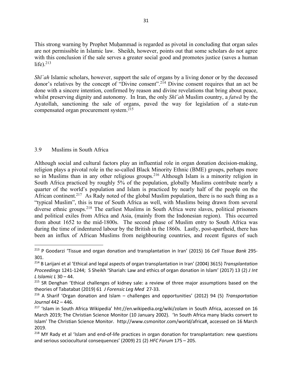This strong warning by Prophet Muḥammad is regarded as pivotal in concluding that organ sales are not permissible in Islamic law. Sheikh, however, points out that some scholars do not agree with this conclusion if the sale serves a greater social good and promotes justice (saves a human life). $213$ 

*Shī*<sup>'</sup>*ah* Islamic scholars, however, support the sale of organs by a living donor or by the deceased donor's relatives by the concept of "Divine consent".214 Divine consent requires that an act be done with a sincere intention, confirmed by reason and divine revelations that bring about peace, whilst preserving dignity and autonomy. In Iran, the only *Shī`ah* Muslim country, a *fatwā* by the Ayatollah, sanctioning the sale of organs, paved the way for legislation of a state-run compensated organ procurement system.215

## 3.9 Muslims in South Africa

Although social and cultural factors play an influential role in organ donation decision-making, religion plays a pivotal role in the so-called Black Minority Ethnic (BME) groups, perhaps more so in Muslims than in any other religious groups.<sup>216</sup> Although Islam is a minority religion in South Africa practiced by roughly 5% of the population, globally Muslims contribute nearly a quarter of the world's population and Islam is practiced by nearly half of the people on the African continent.<sup>217</sup> As Rady noted of the global Muslim population, there is no such thing as a "typical Muslim", this is true of South Africa as well, with Muslims being drawn from several diverse ethnic groups.218 The earliest Muslims in South Africa were slaves, political prisoners and political exiles from Africa and Asia, (mainly from the Indonesian region). This occurred from about 1652 to the mid-1800s. The second phase of Muslim entry to South Africa was during the time of indentured labour by the British in the 1860s. Lastly, post-apartheid, there has been an influx of African Muslims from neighbouring countries, and recent figures of such

 <sup>213</sup> P Goodarzi 'Tissue and organ donation and transplantation in Iran' (2015) 16 *Cell Tissue Bank* 295- 301.

<sup>214</sup> B Larijani et al 'Ethical and legal aspects of organ transplantation in Iran' (2004) 3615) *Transplantation Proceedings* 1241-1244; S Sheikh 'Shariah: Law and ethics of organ donation in Islam' (2017) 13 (2) *J Int L Islamic L* 30 – 44.

<sup>&</sup>lt;sup>215</sup> SR Denghan 'Ethical challenges of kidney sale: a review of three major assumptions based on the theories of Tabatabat (2019) 61 *J Forensic Leg Med* 27-33.

<sup>216</sup> A Sharif 'Organ donation and Islam – challenges and opportunities' (2012) 94 (5) *Transportation Journal* 442 – 446.

<sup>&</sup>lt;sup>217</sup> 'Islam in South Africa Wikipedia' hht://en.wikipedia.org/wiki/zolam in South Africa, accessed on 16 March 2019; The Christian Science Monitor (10 January 2002). 'In South Africa many blacks convert to Islam' The Christian Science Monitor. http://www.csmonitor.com/world/africa#, accessed on 16 March 2019.

<sup>&</sup>lt;sup>218</sup> MY Rady et al 'Islam and end-of-life practices in organ donation for transplantation: new questions and serious sociocultural consequences' (2009) 21 (2) *HFC Forum* 175 – 205.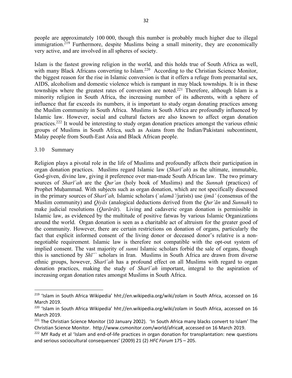people are approximately 100 000, though this number is probably much higher due to illegal immigration.<sup>219</sup> Furthermore, despite Muslims being a small minority, they are economically very active, and are involved in all spheres of society.

Islam is the fastest growing religion in the world, and this holds true of South Africa as well, with many Black Africans converting to Islam.<sup>220</sup> According to the Christian Science Monitor, the biggest reason for the rise in Islamic conversion is that it offers a refuge from premarital sex, AIDS, alcoholism and domestic violence which is rampant in may black townships. It is in these townships where the greatest rates of conversion are noted.<sup>221</sup> Therefore, although Islam is a minority religion in South Africa, the increasing number of its adherents, with a sphere of influence that far exceeds its numbers, it is important to study organ donating practices among the Muslim community in South Africa. Muslims in South Africa are profoundly influenced by Islamic law. However, social and cultural factors are also known to affect organ donation practices.222 It would be interesting to study organ donation practices amongst the various ethnic groups of Muslims in South Africa, such as Asians from the Indian/Pakistani subcontinent, Malay people from South-East Asia and Black African people.

#### 3.10 Summary

Religion plays a pivotal role in the life of Muslims and profoundly affects their participation in organ donation practices. Muslims regard Islamic law (*Sharī`ah*) as the ultimate, immutable, God-given, divine law, giving it preference over man-made South African law. The two primary sources of *Sharī`ah* are the *Qur'an* (holy book of Muslims) and the *Sunnah* (practices) of Prophet Muhammad. With subjects such as organ donation, which are not specifically discussed in the primary sources of *Sharī`ah,* Islamic scholars (`*ulamā'*/jurists) use *ijmā'* (consensus of the Muslim community) and *Qiyās* (analogical deductions derived from the *Qur'ān* and *Sunnah*) to make judicial resolutions (*Qarārāt*). Living and cadaveric organ donation is permissible in Islamic law, as evidenced by the multitude of positive fatwas by various Islamic Organizations around the world. Organ donation is seen as a charitable act of altruism for the greater good of the community. However, there are certain restrictions on donation of organs, particularly the fact that explicit informed consent of the living donor or deceased donor's relative is a nonnegotiable requirement. Islamic law is therefore not compatible with the opt-out system of implied consent. The vast majority of *sunni* Islamic scholars forbid the sale of organs, though this is sanctioned by *Shī'`* scholars in Iran. Muslims in South Africa are drawn from diverse ethnic groups, however, *Sharī`ah* has a profound effect on all Muslims with regard to organ donation practices, making the study of *Sharī`ah* important, integral to the aspiration of increasing organ donation rates amongst Muslims in South Africa.

<sup>&</sup>lt;sup>219</sup> 'Islam in South Africa Wikipedia' hht://en.wikipedia.org/wiki/zolam in South Africa, accessed on 16 March 2019.

<sup>&</sup>lt;sup>220</sup> 'Islam in South Africa Wikipedia' hht://en.wikipedia.org/wiki/zolam in South Africa, accessed on 16 March 2019.

<sup>&</sup>lt;sup>221</sup> The Christian Science Monitor (10 January 2002). 'In South Africa many blacks convert to Islam' The Christian Science Monitor. http://www.csmonitor.com/world/africa#, accessed on 16 March 2019.

<sup>&</sup>lt;sup>222</sup> MY Rady et al 'Islam and end-of-life practices in organ donation for transplantation: new questions and serious sociocultural consequences' (2009) 21 (2) *HFC Forum* 175 – 205.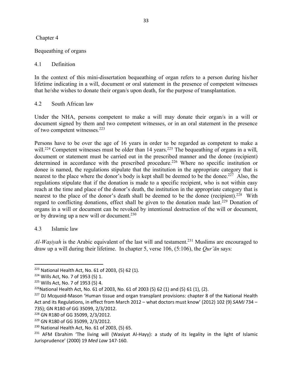#### Chapter 4

### Bequeathing of organs

### 4.1 Definition

In the context of this mini-dissertation bequeathing of organ refers to a person during his/her lifetime indicating in a will, document or oral statement in the presence of competent witnesses that he/she wishes to donate their organ/s upon death, for the purpose of transplantation.

#### 4.2 South African law

Under the NHA, persons competent to make a will may donate their organ/s in a will or document signed by them and two competent witnesses, or in an oral statement in the presence of two competent witnesses.223

Persons have to be over the age of 16 years in order to be regarded as competent to make a will.<sup>224</sup> Competent witnesses must be older than 14 years.<sup>225</sup> The bequeathing of organs in a will, document or statement must be carried out in the prescribed manner and the donee (recipient) determined in accordance with the prescribed procedure.<sup>226</sup> Where no specific institution or donee is named, the regulations stipulate that the institution in the appropriate category that is nearest to the place where the donor's body is kept shall be deemed to be the donee.<sup>227</sup> Also, the regulations stipulate that if the donation is made to a specific recipient, who is not within easy reach at the time and place of the donor's death, the institution in the appropriate category that is nearest to the place of the donor's death shall be deemed to be the donee (recipient).<sup>228</sup> With regard to conflicting donations, effect shall be given to the donation made last.229 Donation of organs in a will or document can be revoked by intentional destruction of the will or document, or by drawing up a new will or document.<sup>230</sup>

#### 4.3 Islamic law

*Al-Waṣiyah* is the Arabic equivalent of the last will and testament.231 Muslims are encouraged to draw up a will during their lifetime. In chapter 5, verse 106, (5:106), the *Qur'ān* says:

 <sup>223</sup> National Health Act, No. 61 of 2003, (5) 62 (1).

<sup>224</sup> Wills Act, No. 7 of 1953 (5) 1.

<sup>225</sup> Wills Act, No. 7 of 1953 (5) 4.

 $226$ National Health Act, No. 61 of 2003, No. 61 of 2003 (5) 62 (1) and (5) 61 (1), (2).

<sup>&</sup>lt;sup>227</sup> DJ Mcquoid-Mason 'Human tissue and organ transplant provisions: chapter 8 of the National Health Act and its Regulations, in effect from March 2012 – what doctors must know' (2012) 102 (9) *SAMJ* 734 – 735); GN R180 of GG 35099, 2/3/2012.

<sup>228</sup> GN R180 of GG 35099, 2/3/2012.

<sup>229</sup> GN R180 of GG 35099, 2/3/2012.

<sup>230</sup> National Health Act, No. 61 of 2003, (5) 65.

<sup>&</sup>lt;sup>231</sup> AFM Ebrahim 'The living will (Wasiyat Al-Hayy): a study of its legality in the light of Islamic Jurisprudence' (2000) 19 *Med Law* 147-160.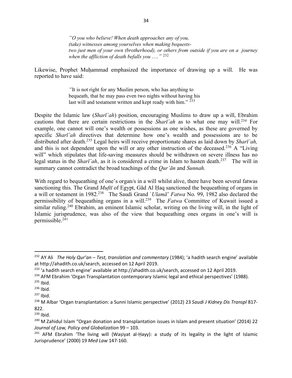*"O you who believe! When death approaches any of you, (take) witnesses among yourselves when making bequeststwo just men of your own (brotherhood), or others from outside if you are on a journey when the affliction of death befalls you* …*."* 232

Likewise, Prophet Muḥammad emphasized the importance of drawing up a will. He was reported to have said:

> *"*It is not right for any Muslim person, who has anything to bequeath, that he may pass even two nights without having his last will and testament written and kept ready with him." <sup>233</sup>

Despite the Islamic law (*Sharī`ah*) position, encouraging Muslims to draw up a will, Ebrahim cautions that there are certain restrictions in the *Sharī`ah* as to what one may will.234 For example, one cannot will one's wealth or possessions as one wishes, as these are governed by specific *Sharī`ah* directives that determine how one's wealth and possessions are to be distributed after death.235 Legal heirs will receive proportionate shares as laid down by *Sharī`ah,* and this is not dependent upon the will or any other instruction of the deceased.<sup>236</sup> A "Living" will" which stipulates that life-saving measures should be withdrawn on severe illness has no legal status in the *Sharī `ah*, as it is considered a crime in Islam to hasten death.<sup>237</sup> The will in summary cannot contradict the broad teachings of the *Qur'ān* and *Sunnah*.

With regard to bequeathing of one's organ/s in a will whilst alive, there have been several fatwas sanctioning this. The Grand *Muftī* of Egypt, Gād Al Ḥaq sanctioned the bequeathing of organs in a will or testament in 1982.238 The Saudi Grand `*Ulamā*' *Fatwa* No. 99, 1982 also declared the permissibility of bequeathing organs in a will.239 The *Fatwa* Committee of Kuwait issued a similar ruling.<sup>240</sup> Ebrahim, an eminent Islamic scholar, writing on the living will, in the light of Islamic jurisprudence, was also of the view that bequeathing ones organs in one's will is permissible.241

<sup>234</sup> AFM Ebrahim 'Organ Transplantation contemporary Islamic legal and ethical perspectives' (1988).

 <sup>232</sup> AY Ali *The Holy Qur'an – Test, translation and commentary* (1984); 'a hadith search engine' available at http://ahadith.co.uk/search, accessed on 12 April 2019.

<sup>&</sup>lt;sup>233</sup> 'a hadith search engine' available at http://ahadith.co.uk/search, accessed on 12 April 2019.

<sup>235</sup> Ibid.

<sup>236</sup> Ibid.

 $237$  Ibid.

<sup>238</sup> M Albar 'Organ transplantation: a Sunni Islamic perspective' (2012) 23 *Saudi J Kidney Dis Transpl* 817- 822.

 $239$  Ibid.

<sup>&</sup>lt;sup>240</sup> M Zahidul Islam "Organ donation and transplantation issues in Islam and present situation' (2014) 22 *Journal of Law, Policy and Globalization* 99 – 103.

<sup>&</sup>lt;sup>241</sup> AFM Ebrahim 'The living will (Waṣiyat al-Ḥayy): a study of its legality in the light of Islamic Jurisprudence' (2000) 19 *Med Law* 147-160.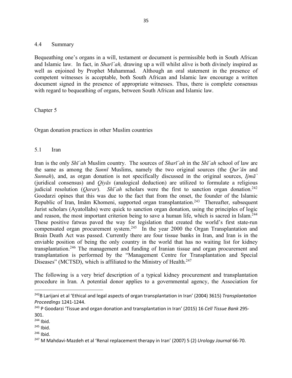#### 4.4 Summary

Bequeathing one's organs in a will, testament or document is permissible both in South African and Islamic law. In fact, in *Sharī`ah,* drawing up a will whilst alive is both divinely inspired as well as enjoined by Prophet Muhammad. Although an oral statement in the presence of competent witnesses is acceptable, both South African and Islamic law encourage a written document signed in the presence of appropriate witnesses. Thus, there is complete consensus with regard to bequeathing of organs, between South African and Islamic law.

Chapter 5

Organ donation practices in other Muslim countries

#### 5.1 Iran

Iran is the only *Shī`ah* Muslim country. The sources of *Sharī`ah* in the *Shī`ah* school of law are the same as among the *Sunnī* Muslims, namely the two original sources (the *Qur'ān* and *Sunnah*), and, as organ donation is not specifically discussed in the original sources, *Ijmā`* (juridical consensus) and *Qiyās* (analogical deduction) are utilized to formulate a religious judicial resolution (*Qarar*). *Shī`ah* scholars were the first to sanction organ donation.<sup>242</sup> Goodarzi opines that this was due to the fact that from the onset, the founder of the Islamic Republic of Iran, Imām Khomeni, supported organ transplantation.<sup>243</sup> Thereafter, subsequent Jurist scholars (Ayatollahs) were quick to sanction organ donation, using the principles of logic and reason, the most important criterion being to save a human life, which is sacred in Islam.<sup>244</sup> These positive fatwas paved the way for legislation that created the world's first state-run compensated organ procurement system.<sup>245</sup> In the year 2000 the Organ Transplantation and Brain Death Act was passed. Currently there are four tissue banks in Iran, and Iran is in the enviable position of being the only country in the world that has no waiting list for kidney transplantation.246 The management and funding of Iranian tissue and organ procurement and transplantation is performed by the "Management Centre for Transplantation and Special Diseases" (MCTSD), which is affiliated to the Ministry of Health.<sup>247</sup>

The following is a very brief description of a typical kidney procurement and transplantation procedure in Iran. A potential donor applies to a governmental agency, the Association for

 $246$  Ibid.

 <sup>242</sup>B Larijani et al 'Ethical and legal aspects of organ transplantation in Iran' (2004) 3615) *Transplantation Proceedings* 1241-1244.

<sup>243</sup> P Goodarzi 'Tissue and organ donation and transplantation in Iran' (2015) 16 *Cell Tissue Bank* 295- 301.

 $244$  Ibid.

 $245$  Ibid.

<sup>247</sup> M Mahdavi-Mazdeh et al 'Renal replacement therapy in Iran' (2007) 5 (2) *Urology Journal* 66-70.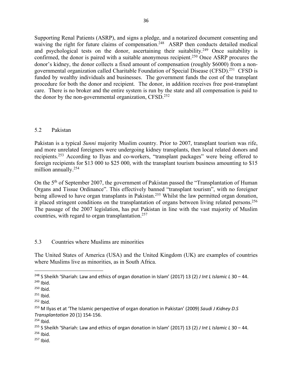Supporting Renal Patients (ASRP), and signs a pledge, and a notarized document consenting and waiving the right for future claims of compensation.<sup>248</sup> ASRP then conducts detailed medical and psychological tests on the donor, ascertaining their suitability.<sup>249</sup> Once suitability is confirmed, the donor is paired with a suitable anonymous recipient.<sup>250</sup> Once ASRP procures the donor's kidney, the donor collects a fixed amount of compensation (roughly \$6000) from a nongovernmental organization called Charitable Foundation of Special Disease (CFSD).251 CFSD is funded by wealthy individuals and businesses. The government funds the cost of the transplant procedure for both the donor and recipient. The donor, in addition receives free post-transplant care. There is no broker and the entire system is run by the state and all compensation is paid to the donor by the non-governmental organization, CFSD.<sup>252</sup>

## 5.2 Pakistan

Pakistan is a typical *Sunni* majority Muslim country. Prior to 2007, transplant tourism was rife, and more unrelated foreigners were undergoing kidney transplants, then local related donors and recipients.253 According to Ilyas and co-workers, "transplant packages" were being offered to foreign recipients for \$13 000 to \$25 000, with the transplant tourism business amounting to \$15 million annually.<sup>254</sup>

On the 5<sup>th</sup> of September 2007, the government of Pakistan passed the "Transplantation of Human Organs and Tissue Ordinance". This effectively banned "transplant tourism", with no foreigner being allowed to have organ transplants in Pakistan.<sup>255</sup> Whilst the law permitted organ donation, it placed stringent conditions on the transplantation of organs between living related persons.<sup>256</sup> The passage of the 2007 legislation, has put Pakistan in line with the vast majority of Muslim countries, with regard to organ transplantation.257

## 5.3 Countries where Muslims are minorities

The United States of America (USA) and the United Kingdom (UK) are examples of countries where Muslims live as minorities, as in South Africa.

 <sup>248</sup> S Sheikh 'Shariah: Law and ethics of organ donation in Islam' (2017) 13 (2) *J Int L Islamic L* 30 – 44.

 $249$  Ibid.

 $250$  Ibid.

 $251$  Ibid.

 $252$  Ibid.

<sup>253</sup> M Ilyas et at 'The Islamic perspective of organ donation in Pakistan' (2009) *Saudi J Kidney D.S Transplantation* 20 (1) 154-156.

 $254$  Ibid.

<sup>255</sup> S Sheikh 'Shariah: Law and ethics of organ donation in Islam' (2017) 13 (2) *J Int L Islamic L* 30 – 44. <sup>256</sup> Ibid.

 $257$  Ibid.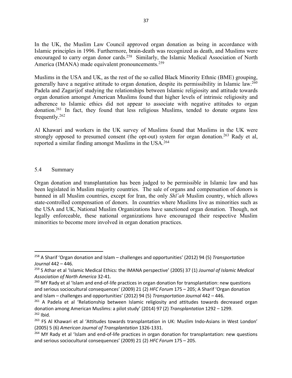In the UK, the Muslim Law Council approved organ donation as being in accordance with Islamic principles in 1996. Furthermore, brain-death was recognized as death, and Muslims were encouraged to carry organ donor cards.<sup>258</sup> Similarly, the Islamic Medical Association of North America (IMANA) made equivalent pronouncements.<sup>259</sup>

Muslims in the USA and UK, as the rest of the so called Black Minority Ethnic (BME) grouping, generally have a negative attitude to organ donation, despite its permissibility in Islamic law.260 Padela and Zagarijof studying the relationships between Islamic religiosity and attitude towards organ donation amongst American Muslims found that higher levels of intrinsic religiosity and adherence to Islamic ethics did not appear to associate with negative attitudes to organ donation.261 In fact, they found that less religious Muslims, tended to donate organs less frequently.262

Al Khawari and workers in the UK survey of Muslims found that Muslims in the UK were strongly opposed to presumed consent (the opt-out) system for organ donation.<sup>263</sup> Rady et al, reported a similar finding amongst Muslims in the USA.264

#### 5.4 Summary

Organ donation and transplantation has been judged to be permissible in Islamic law and has been legislated in Muslim majority countries. The sale of organs and compensation of donors is banned in all Muslim countries, except for Iran, the only *Shī`ah* Muslim country, which allows state-controlled compensation of donors. In countries where Muslims live as minorities such as the USA and UK, National Muslim Organizations have sanctioned organ donation. Though, not legally enforceable, these national organizations have encouraged their respective Muslim minorities to become more involved in organ donation practices.

 <sup>258</sup> A Sharif 'Organ donation and Islam – challenges and opportunities' (2012) 94 (5) *Transportation Journal* 442 – 446.

<sup>259</sup> S Athar et al 'Islamic Medical Ethics: the IMANA perspective' (2005) 37 (1) *Journal of Islamic Medical Association of North America* 32-41.

<sup>&</sup>lt;sup>260</sup> MY Rady et al 'Islam and end-of-life practices in organ donation for transplantation: new questions and serious sociocultural consequences' (2009) 21 (2) *HFC Forum* 175 – 205; A Sharif 'Organ donation and Islam – challenges and opportunities' (2012) 94 (5) *Transportation Journal* 442 – 446.

<sup>&</sup>lt;sup>261</sup> A Padela et al 'Relationship between Islamic religiosity and attitudes towards decreased organ donation among American Muslims: a pilot study' (2014) 97 (2) *Transplantation* 1292 – 1299.  $262$  Ibid.

<sup>&</sup>lt;sup>263</sup> FS Al Khawari et al 'Attitudes towards transplantation in UK: Muslim Indo-Asians in West London' (2005) 5 (6) *American Journal of Transplantation* 1326-1331.

<sup>&</sup>lt;sup>264</sup> MY Rady et al 'Islam and end-of-life practices in organ donation for transplantation: new questions and serious sociocultural consequences' (2009) 21 (2) *HFC Forum* 175 – 205.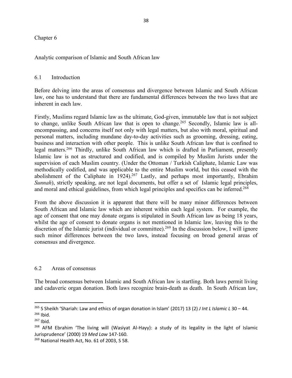#### Chapter 6

Analytic comparison of Islamic and South African law

#### 6.1 Introduction

Before delving into the areas of consensus and divergence between Islamic and South African law, one has to understand that there are fundamental differences between the two laws that are inherent in each law.

Firstly, Muslims regard Islamic law as the ultimate, God-given, immutable law that is not subject to change, unlike South African law that is open to change.<sup>265</sup> Secondly, Islamic law is allencompassing, and concerns itself not only with legal matters, but also with moral, spiritual and personal matters, including mundane day-to-day activities such as grooming, dressing, eating, business and interaction with other people. This is unlike South African law that is confined to legal matters.266 Thirdly, unlike South African law which is drafted in Parliament, presently Islamic law is not as structured and codified, and is compiled by Muslim Jurists under the supervision of each Muslim country. (Under the Ottoman / Turkish Caliphate, Islamic Law was methodically codified, and was applicable to the entire Muslim world, but this ceased with the abolishment of the Caliphate in 1924). <sup>267</sup> Lastly, and perhaps most importantly, Ebrahim *Sunnah*), strictly speaking, are not legal documents, but offer a set of Islamic legal principles, and moral and ethical guidelines, from which legal principles and specifics can be inferred.<sup>268</sup>

From the above discussion it is apparent that there will be many minor differences between South African and Islamic law which are inherent within each legal system. For example, the age of consent that one may donate organs is stipulated in South African law as being 18 years, whilst the age of consent to donate organs is not mentioned in Islamic law, leaving this to the discretion of the Islamic jurist (individual or committee).<sup>269</sup> In the discussion below, I will ignore such minor differences between the two laws, instead focusing on broad general areas of consensus and divergence.

#### 6.2 Areas of consensus

The broad consensus between Islamic and South African law is startling. Both laws permit living and cadaveric organ donation. Both laws recognize brain-death as death. In South African law,

 <sup>265</sup> S Sheikh 'Shariah: Law and ethics of organ donation in Islam' (2017) 13 (2) *J Int L Islamic L* 30 – 44.

 $266$  Ibid.

 $267$  Ibid.

<sup>&</sup>lt;sup>268</sup> AFM Ebrahim 'The living will (Wasiyat Al-Hayy): a study of its legality in the light of Islamic Jurisprudence' (2000) 19 *Med Law* 147-160.

<sup>&</sup>lt;sup>269</sup> National Health Act, No. 61 of 2003, S 58.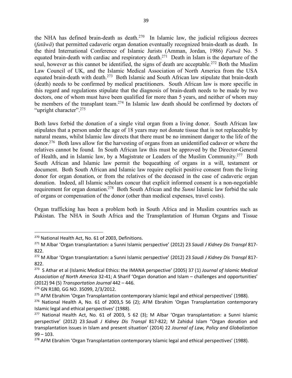the NHA has defined brain-death as death.<sup>270</sup> In Islamic law, the judicial religious decrees (*fatāwā*) that permitted cadaveric organ donation eventually recognized brain-death as death. In the third International Conference of Islamic Jurists (Amman, Jordan, 1986) *Fatwā* No. 5 equated brain-death with cardiac and respiratory death.271 Death in Islam is the departure of the soul, however as this cannot be identified, the signs of death are acceptable.<sup>272</sup> Both the Muslim Law Council of UK, and the Islamic Medical Association of North America from the USA equated brain-death with death.273 Both Islamic and South African law stipulate that brain-death (death) needs to be confirmed by medical practitioners. South African law is more specific in this regard and regulations stipulate that the diagnosis of brain-death needs to be made by two doctors, one of whom must have been qualified for more than 5 years, and neither of whom may be members of the transplant team.<sup>274</sup> In Islamic law death should be confirmed by doctors of "upright character".<sup>275</sup>

Both laws forbid the donation of a single vital organ from a living donor. South African law stipulates that a person under the age of 18 years may not donate tissue that is not replaceable by natural means, whilst Islamic law directs that there must be no imminent danger to the life of the donor.276 Both laws allow for the harvesting of organs from an unidentified cadaver or where the relatives cannot be found. In South African law this must be approved by the Director-General of Health, and in Islamic law, by a Magistrate or Leaders of the Muslim Community.277 Both South African and Islamic law permit the bequeathing of organs in a will, testament or document. Both South African and Islamic law require explicit positive consent from the living donor for organ donation, or from the relatives of the deceased in the case of cadaveric organ donation. Indeed, all Islamic scholars concur that explicit informed consent is a non-negotiable requirement for organ donation.278 Both South African and the *Sunni* Islamic law forbid the sale of organs or compensation of the donor (other than medical expenses, travel costs).

Organ trafficking has been a problem both in South Africa and in Muslim countries such as Pakistan. The NHA in South Africa and the Transplantation of Human Organs and Tissue

<sup>&</sup>lt;sup>270</sup> National Health Act, No. 61 of 2003, Definitions.

<sup>271</sup> M Albar 'Organ transplantation: a Sunni Islamic perspective' (2012) 23 *Saudi J Kidney Dis Transpl* 817- 822.

<sup>272</sup> M Albar 'Organ transplantation: a Sunni Islamic perspective' (2012) 23 *Saudi J Kidney Dis Transpl* 817- 822.

<sup>273</sup> S Athar et al (Islamic Medical Ethics: the IMANA perspective' (2005) 37 (1) *Journal of Islamic Medical Association of North America* 32-41; A Sharif 'Organ donation and Islam – challenges and opportunities' (2012) 94 (5) *Transportation Journal* 442 – 446.

<sup>274</sup> GN R180, GG NO. 35099, 2/3/2012.

<sup>&</sup>lt;sup>275</sup> AFM Ebrahim 'Organ Transplantation contemporary Islamic legal and ethical perspectives' (1988).

 $276$  National Health A, No. 61 of 2003,5 56 (2); AFM Ebrahim 'Organ Transplantation contemporary Islamic legal and ethical perspectives' (1988).

<sup>&</sup>lt;sup>277</sup> National Health Act, No. 61 of 2003, 5 62 (3); M Albar 'Organ transplantation: a Sunni Islamic perspective' (2012) 23 *Saudi J Kidney Dis Transpl* 817-822; M Zahidul Islam "Organ donation and transplantation issues in Islam and present situation' (2014) 22 *Journal of Law, Policy and Globalization*  $99 - 103$ .

<sup>&</sup>lt;sup>278</sup> AFM Ebrahim 'Organ Transplantation contemporary Islamic legal and ethical perspectives' (1988).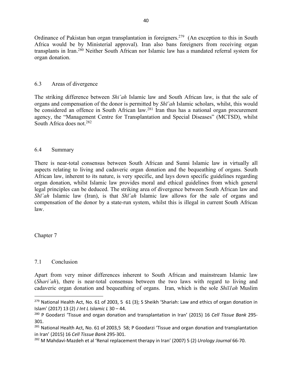Ordinance of Pakistan ban organ transplantation in foreigners.279 (An exception to this in South Africa would be by Ministerial approval). Iran also bans foreigners from receiving organ transplants in Iran.280 Neither South African nor Islamic law has a mandated referral system for organ donation.

#### 6.3 Areas of divergence

The striking difference between *Shi'ah* Islamic law and South African law, is that the sale of organs and compensation of the donor is permitted by *Shī`ah* Islamic scholars, whilst, this would be considered an offence in South African law.<sup>281</sup> Iran thus has a national organ procurement agency, the "Management Centre for Transplantation and Special Diseases" (MCTSD), whilst South Africa does not.282

#### 6.4 Summary

There is near-total consensus between South African and Sunni Islamic law in virtually all aspects relating to living and cadaveric organ donation and the bequeathing of organs. South African law, inherent to its nature, is very specific, and lays down specific guidelines regarding organ donation, whilst Islamic law provides moral and ethical guidelines from which general legal principles can be deduced. The striking area of divergence between South African law and *Shī`ah* Islamic law (Iran), is that *Shī`ah* Islamic law allows for the sale of organs and compensation of the donor by a state-run system, whilst this is illegal in current South African law.

Chapter 7

## 7.1 Conclusion

Apart from very minor differences inherent to South African and mainstream Islamic law (*Shari'ah*), there is near-total consensus between the two laws with regard to living and cadaveric organ donation and bequeathing of organs. Iran, which is the sole *Shiī1ah* Muslim

 $279$  National Health Act, No. 61 of 2003, 5 61 (3); S Sheikh 'Shariah: Law and ethics of organ donation in Islam' (2017) 13 (2) *J Int L Islamic L* 30 – 44.

<sup>280</sup> P Goodarzi 'Tissue and organ donation and transplantation in Iran' (2015) 16 *Cell Tissue Bank* 295- 301.

<sup>&</sup>lt;sup>281</sup> National Health Act, No. 61 of 2003,5 58; P Goodarzi 'Tissue and organ donation and transplantation in Iran' (2015) 16 *Cell Tissue Bank* 295-301.

<sup>282</sup> M Mahdavi-Mazdeh et al 'Renal replacement therapy in Iran' (2007) 5 (2) *Urology Journal* 66-70.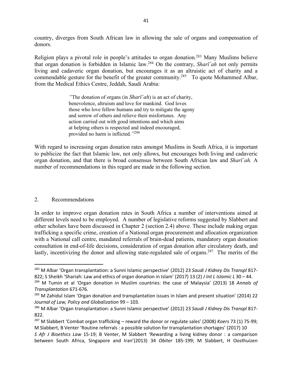country, diverges from South African law in allowing the sale of organs and compensation of donors.

Religion plays a pivotal role in people's attitudes to organ donation.283 Many Muslims believe that organ donation is forbidden in Islamic law.284 On the contrary, *Sharī`ah* not only permits living and cadaveric organ donation, but encourages it as an altruistic act of charity and a commendable gesture for the benefit of the greater community.<sup>285</sup> To quote Mohammed Albar, from the Medical Ethics Centre, Jeddah, Saudi Arabia:

> *"*The donation of organs (in *Sharī`ah*) is an act of charity, benevolence, altruism and love for mankind. God loves those who love fellow humans and try to mitigate the agony and sorrow of others and relieve their misfortunes. Any action carried out with good intentions and which aims at helping others is respected and indeed encouraged, provided no harm is inflicted*."*286

With regard to increasing organ donation rates amongst Muslims in South Africa, it is important to publicize the fact that Islamic law, not only allows, but encourages both living and cadaveric organ donation, and that there is broad consensus between South African law and *Sharī`ah*. A number of recommendations in this regard are made in the following section.

#### 2. Recommendations

In order to improve organ donation rates in South Africa a number of interventions aimed at different levels need to be employed. A number of legislative reforms suggested by Slabbert and other scholars have been discussed in Chapter 2 (section 2.4) above. These include making organ trafficking a specific crime, creation of a National organ procurement and allocation organization with a National call centre, mandated referrals of brain-dead patients, mandatory organ donation consultation in end-of-life decisions, consideration of organ donation after circulatory death, and lastly, incentivizing the donor and allowing state-regulated sale of organs.<sup>287</sup> The merits of the

 <sup>283</sup> M Albar 'Organ transplantation: a Sunni Islamic perspective' (2012) 23 *Saudi J Kidney Dis Transpl* 817- 822; S Sheikh 'Shariah: Law and ethics of organ donation in Islam' (2017) 13 (2) *J Int L Islamic L* 30 – 44.

<sup>284</sup> M Tumin et al 'Organ donation in Muslim countries: the case of Malaysia' (2013) 18 *Annals of Transplantation* 671-676.

<sup>&</sup>lt;sup>285</sup> M Zahidul Islam 'Organ donation and transplantation issues in Islam and present situation' (2014) 22 *Journal of Law, Policy and Globalization* 99 – 103.

<sup>286</sup> M Albar 'Organ transplantation: a Sunni Islamic perspective' (2012) 23 *Saudi J Kidney Dis Transpl* 817- 822.

<sup>287</sup> M Slabbert 'Combat organ trafficking – reward the donor or regulate sales' (2008) *Koers* 73 (1) 75-99; M Slabbert, B Venter 'Routine referrals : a possible solution for transplantation shortages' (2017) 10

*S Afr J Bioethics Law* 15-19; B Venter, M Slabbert 'Rewarding a living kidney donor : a comparison between South Africa, Singapore and Iran'(2013) 34 *Obiter* 185-199; M Slabbert, H Oosthuizen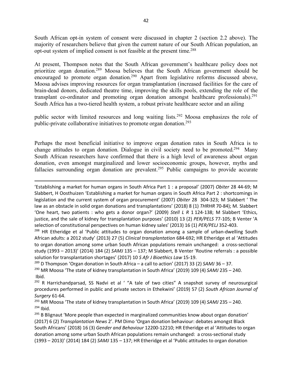South African opt-in system of consent were discussed in chapter 2 (section 2.2 above). The majority of researchers believe that given the current nature of our South African population, an opt-out system of implied consent is not feasible at the present time.288

At present, Thompson notes that the South African government's healthcare policy does not prioritize organ donation.289 Moosa believes that the South African government should be encouraged to promote organ donation.<sup>290</sup> Apart from legislative reforms discussed above, Moosa advises improving resources for organ transplantation (increased facilities for the care of brain-dead donors, dedicated theatre time, improving the skills pools, extending the role of the transplant co-ordinator and promoting organ donation amongst healthcare professionals).<sup>291</sup> South Africa has a two-tiered health system, a robust private healthcare sector and an ailing

public sector with limited resources and long waiting lists.292 Moosa emphasizes the role of public-private collaborative initiatives to promote organ donation.293

Perhaps the most beneficial initiative to improve organ donation rates in South Africa is to change attitudes to organ donation. Dialogue in civil society need to be promoted.<sup>294</sup> Many South African researchers have confirmed that there is a high level of awareness about organ donation, even amongst marginalized and lower socioeconomic groups, however, myths and fallacies surrounding organ donation are prevalent.<sup>295</sup> Public campaigns to provide accurate

'Establishing a market for human organs in South Africa Part 1 : a proposal' (2007) *Obiter* 28 44-69; M Slabbert, H Oosthuizen 'Establishing a market for human organs in South Africa Part 2 : shortcomings in legislation and the current system of organ procurement' (2007) *Obiter* 28 304-323; M Slabbert ' The law as an obstacle in solid organ donations and transplantations' (2018) 8 (1) *THRHR* 70-84); M. Slabbert 'One heart, two patients : who gets a donor organ?' (2009) *Stell L R* 1 124-138; M Slabbert 'Ethics, justice, and the sale of kidney for transplantation purposes' (2010) 13 (2) *PER/PELS* 77-105; B Venter 'A selection of constitutional perspectives on human kidney sales' (2013) 16 (1) *PER/PELJ* 352-403.

<sup>288</sup> HR Etheridge et al 'Public attitudes to organ donation among a sample of urban-dwelling South African adults: a 2012 study' (2013) 27 (5) *Clinical transplantation* 684-692; HR Etheridge et al 'Attitudes to organ donation among some urban South African populations remain unchanged: a cross-sectional study (1993 – 2013)' (2014) 184 (2) *SAMJ* 135 – 137; M Slabbert, B Venter 'Routine referrals : a possible solution for transplantation shortages' (2017) 10 *S Afr J Bioethics Law* 15-19.

<sup>289</sup> D Thompson 'Organ donation in South Africa – a call to action' (2017) 33 (2) *SAMJ* 36 – 37.

 $\overline{a}$ 

<sup>290</sup> MR Moosa 'The state of kidney transplantation in South Africa' (2019) 109 (4) *SAMJ* 235 – 240. Ibid.

<sup>292</sup> R Harrichandparsad, SS Nadvi et al ' "A tale of two cities" A snapshot survey of neurosurgical procedures performed in public and private sectors in Ethekwini' (2019) 57 (2) *South African Journal of Surgery* 61-64.

<sup>293</sup> MR Moosa 'The state of kidney transplantation in South Africa' (2019) 109 (4) *SAMJ* 235 – 240. <sup>294</sup> Ibid.

<sup>295</sup> B Blignaut 'More people than expected in marginalized communities know about organ donation' (2017) 6 (2) *Transplantation News* 2'. PM Dimo 'Organ donation behaviour: debates amongst Black South Africans' (2018) 16 (3) *Gender and Behaviour* 12200-12210; HR Etheridge et al 'Attitudes to organ donation among some urban South African populations remain unchanged: a cross-sectional study (1993 – 2013)' (2014) 184 (2) *SAMJ* 135 – 137; HR Etheridge et al 'Public attitudes to organ donation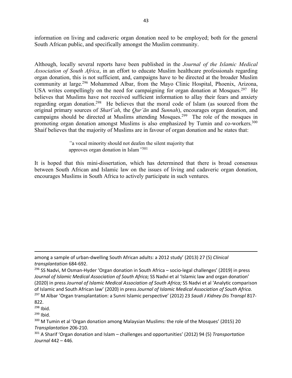information on living and cadaveric organ donation need to be employed; both for the general South African public, and specifically amongst the Muslim community.

Although, locally several reports have been published in the *Journal of the Islamic Medical Association of South Africa*, in an effort to educate Muslim healthcare professionals regarding organ donation, this is not sufficient, and, campaigns have to be directed at the broader Muslim community at large.296 Mohammed Albar, from the Mayo Clinic Hospital, Phoenix, Arizona, USA writes compellingly on the need for campaigning for organ donation at Mosques.<sup>297</sup> He believes that Muslims have not received sufficient information to allay their fears and anxiety regarding organ donation.298 He believes that the moral code of Islam (as sourced from the original primary sources of *Sharī`ah*, the *Qur'ān* and *Sunnah*), encourages organ donation, and campaigns should be directed at Muslims attending Mosques.299 The role of the mosques in promoting organ donation amongst Muslims is also emphasized by Tumin and co-workers.<sup>300</sup> Shaif believes that the majority of Muslims are in favour of organ donation and he states that:

> *"*a vocal minority should not deafen the silent majority that approves organ donation in Islam*"*<sup>301</sup>

It is hoped that this mini-dissertation, which has determined that there is broad consensus between South African and Islamic law on the issues of living and cadaveric organ donation, encourages Muslims in South Africa to actively participate in such ventures.

 $\overline{a}$ 

 $299$  Ibid.

among a sample of urban-dwelling South African adults: a 2012 study' (2013) 27 (5) *Clinical transplantation* 684-692.

<sup>&</sup>lt;sup>296</sup> SS Nadvi, M Osman-Hyder 'Organ donation in South Africa – socio-legal challenges' (2019) in press *Journal of Islamic Medical Association of South Africa;* SS Nadvi et al 'Islamic law and organ donation' (2020) in press *Journal of Islamic Medical Association of South Africa;* SS Nadvi et al 'Analytic comparison of Islamic and South African law' (2020) in press *Journal of Islamic Medical Association of South Africa.* <sup>297</sup> M Albar 'Organ transplantation: a Sunni Islamic perspective' (2012) 23 *Saudi J Kidney Dis Transpl* 817-

<sup>822.</sup>

 $298$  Ibid.

<sup>&</sup>lt;sup>300</sup> M Tumin et al 'Organ donation among Malaysian Muslims: the role of the Mosques' (2015) 20 *Transplantation* 206-210.

<sup>301</sup> A Sharif 'Organ donation and Islam – challenges and opportunities' (2012) 94 (5) *Transportation Journal* 442 – 446.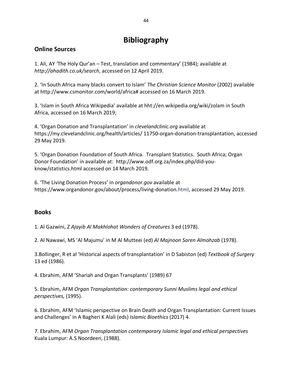## **Bibliography**

## **Online Sources**

1. Ali, AY *'*The Holy Qur'an – Test, translation and commentary' (1984); available at *http://ahadith.co.uk/search*, accessed on 12 April 2019.

2. 'In South Africa many blacks convert to Islam' *The Christian Science Monitor* (2002) available at http://www.csmonitor.com/world/africa# accessed on 16 March 2019.

3. 'Islam in South Africa Wikipedia' available at hht://en.wikipedia.org/wiki/zolam in South Africa, accessed on 16 March 2019;

4. 'Organ Donation and Transplantation' in *clevelandclinic.org* available at https://my.clevelandclinic.org/health/articles/ 11750-organ-donation-transplantation, accessed 29 May 2019.

5. 'Organ Donation Foundation of South Africa. Transplant Statistics. South Africa; Organ Donor Foundation' in available at: http://www.odf.org.za/index.php/did-youknow/statistics.html accessed on 14 March 2019.

6. 'The Living Donation Process' in *organdonor.gov* available at https://www.organdonor.gov/about/process/living-donation.html, accessed 29 May 2019.

## **Books**

1. Al Gazwini, Z *Ajayib Al Makhlohat Wonders of Creatures* 3 ed (1978).

2. Al Nawawi, MS 'Al Majumu' in M Al Mutteei (ed) *Al Majnoon Saren Almohzab* (1978).

3.Bollinger, R et al 'Historical aspects of transplantation' in D Sabiston (ed) *Textbook of Surgery* 13 ed (1986).

4. Ebrahim, AFM 'Shariah and Organ Transplants' (1989) 67

5. Ebrahim, AFM *Organ Transplantation: contemporary Sunni Muslims legal and ethical perspectives,* (1995).

6. Ebrahim, AFM 'Islamic perspective on Brain Death and Organ Transplantation: Current Issues and Challenges' in A Bagheri K Alali (eds) *Islamic Bioethics* (2017) 4.

7. Ebrahim, AFM *Organ Transplantation contemporary Islamic legal and ethical perspectives*  Kuala Lumpur: A.S Noordeen, (1988).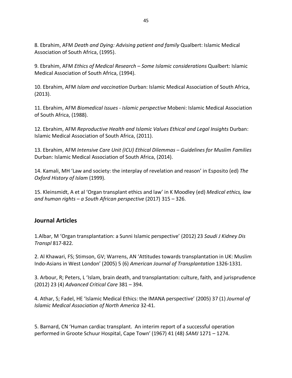8. Ebrahim, AFM *Death and Dying: Advising patient and family* Qualbert: Islamic Medical Association of South Africa, (1995).

9. Ebrahim, AFM *Ethics of Medical Research – Some Islamic considerations* Qualbert: Islamic Medical Association of South Africa, (1994).

10. Ebrahim, AFM *Islam and vaccination* Durban: Islamic Medical Association of South Africa, (2013).

11. Ebrahim, AFM *Biomedical Issues - Islamic perspective* Mobeni: Islamic Medical Association of South Africa, (1988).

12. Ebrahim, AFM *Reproductive Health and Islamic Values Ethical and Legal Insights* Durban: Islamic Medical Association of South Africa, (2011).

13. Ebrahim, AFM *Intensive Care Unit (ICU) Ethical Dilemmas – Guidelines for Muslim Families* Durban: Islamic Medical Association of South Africa, (2014).

14. Kamali, MH 'Law and society: the interplay of revelation and reason' in Esposito (ed) *The Oxford History of Islam* (1999).

15. Kleinsmidt, A et al 'Organ transplant ethics and law' in K Moodley (ed) *Medical ethics, law and human rights – a South African perspective* (2017) 315 – 326.

## **Journal Articles**

1.Albar, M 'Organ transplantation: a Sunni Islamic perspective' (2012) 23 *Saudi J Kidney Dis Transpl* 817-822.

2. Al Khawari, FS; Stimson, GV; Warrens, AN 'Attitudes towards transplantation in UK: Muslim Indo-Asians in West London' (2005) 5 (6) *American Journal of Transplantation* 1326-1331.

3. Arbour, R; Peters, L 'Islam, brain death, and transplantation: culture, faith, and jurisprudence (2012) 23 (4) *Advanced Critical Care* 381 – 394.

4. Athar, S; Fadel, HE 'Islamic Medical Ethics: the IMANA perspective' (2005) 37 (1) *Journal of Islamic Medical Association of North America* 32-41.

5. Barnard, CN 'Human cardiac transplant. An interim report of a successful operation performed in Groote Schuur Hospital, Cape Town' (1967) 41 (48) *SAMJ* 1271 – 1274.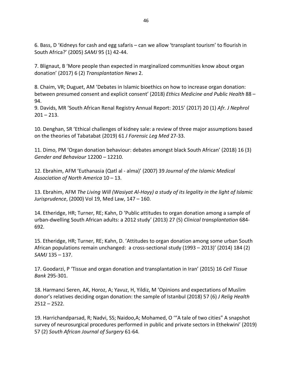6. Bass, D 'Kidneys for cash and egg safaris – can we allow 'transplant tourism' to flourish in South Africa?' (2005) *SAMJ* 95 (1) 42-44.

7. Blignaut, B 'More people than expected in marginalized communities know about organ donation' (2017) 6 (2) *Transplantation News* 2.

8. Chaim, VR; Duguet, AM 'Debates in Islamic bioethics on how to increase organ donation: between presumed consent and explicit consent' (2018) *Ethics Medicine and Public Health* 88 – 94.

9. Davids, MR 'South African Renal Registry Annual Report: 2015' (2017) 20 (1) *Afr. J Nephrol*  $201 - 213$ .

10. Denghan, SR 'Ethical challenges of kidney sale: a review of three major assumptions based on the theories of Tabatabat (2019) 61 *J Forensic Leg Med* 27-33.

11. Dimo, PM 'Organ donation behaviour: debates amongst black South African' (2018) 16 (3) *Gender and Behaviour* 12200 – 12210.

12. Ebrahim, AFM 'Euthanasia (Qatl al - alma)' (2007) 39 *Journal of the Islamic Medical Association of North America* 10 – 13.

13. Ebrahim, AFM *The Living Will (Wasiyat Al-Hayy) a study of its legality in the light of Islamic Jurisprudence*, (2000) Vol 19, Med Law, 147 – 160.

14. Etheridge, HR; Turner, RE; Kahn, D 'Public attitudes to organ donation among a sample of urban-dwelling South African adults: a 2012 study' (2013) 27 (5) *Clinical transplantation* 684- 692.

15. Etheridge, HR; Turner, RE; Kahn, D. 'Attitudes to organ donation among some urban South African populations remain unchanged: a cross-sectional study (1993 – 2013)' (2014) 184 (2) *SAMJ* 135 – 137.

17. Goodarzi, P 'Tissue and organ donation and transplantation in Iran' (2015) 16 *Cell Tissue Bank* 295-301.

18. Harmanci Seren, AK, Horoz, A; Yavuz, H, Yildiz, M 'Opinions and expectations of Muslim donor's relatives deciding organ donation: the sample of Istanbul (2018) 57 (6) *J Relig Health*  $2512 - 2522$ .

19. Harrichandparsad, R; Nadvi, SS; Naidoo,A; Mohamed, O '"A tale of two cities" A snapshot survey of neurosurgical procedures performed in public and private sectors in Ethekwini' (2019) 57 (2) *South African Journal of Surgery* 61-64.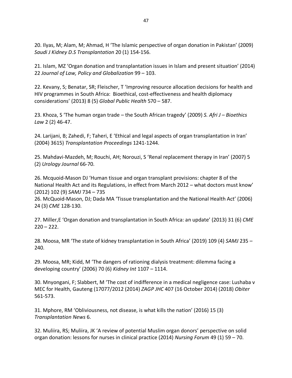20. Ilyas, M; Alam, M; Ahmad, H 'The Islamic perspective of organ donation in Pakistan' (2009) *Saudi J Kidney D.S Transplantation* 20 (1) 154-156.

21. Islam, MZ 'Organ donation and transplantation issues in Islam and present situation' (2014) 22 *Journal of Law, Policy and Globalization* 99 – 103.

22. Kevany, S; Benatar, SR; Fleischer, T 'Improving resource allocation decisions for health and HIV programmes in South Africa: Bioethical, cost-effectiveness and health diplomacy considerations' (2013) 8 (5) *Global Public Health* 570 – 587.

23. Khoza, S 'The human organ trade – the South African tragedy' (2009) *S. Afri J – Bioethics Law* 2 (2) 46-47.

24. Larijani, B; Zahedi, F; Taheri, E 'Ethical and legal aspects of organ transplantation in Iran' (2004) 3615) *Transplantation Proceedings* 1241-1244.

25. Mahdavi-Mazdeh, M; Rouchi, AH; Norouzi, S 'Renal replacement therapy in Iran' (2007) 5 (2) *Urology Journal* 66-70.

26. Mcquoid-Mason DJ 'Human tissue and organ transplant provisions: chapter 8 of the National Health Act and its Regulations, in effect from March 2012 – what doctors must know' (2012) 102 (9) *SAMJ* 734 – 735

26. McQuoid-Mason, DJ; Dada MA 'Tissue transplantation and the National Health Act' (2006) 24 (3) *CME* 128-130.

27. Miller,E 'Organ donation and transplantation in South Africa: an update' (2013) 31 (6) *CME*  $220 - 222$ .

28. Moosa, MR 'The state of kidney transplantation in South Africa' (2019) 109 (4) *SAMJ* 235 – 240.

29. Moosa, MR; Kidd, M 'The dangers of rationing dialysis treatment: dilemma facing a developing country' (2006) 70 (6) *Kidney Int* 1107 – 1114.

30. Mnyongani, F; Slabbert, M 'The cost of indifference in a medical negligence case: Lushaba v MEC for Health, Gauteng (17077/2012 (2014) *ZAGP JHC* 407 (16 October 2014) (2018) *Obiter* 561-573.

31. Mphore, RM 'Obliviousness, not disease, is what kills the nation' (2016) 15 (3) *Transplantation News* 6.

32. Muliira, RS; Muliira, JK 'A review of potential Muslim organ donors' perspective on solid organ donation: lessons for nurses in clinical practice (2014) *Nursing Forum* 49 (1) 59 – 70.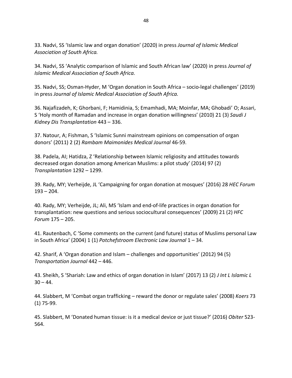33. Nadvi, SS 'Islamic law and organ donation' (2020) in press *Journal of Islamic Medical Association of South Africa.*

34. Nadvi, SS 'Analytic comparison of Islamic and South African law' (2020) in press *Journal of Islamic Medical Association of South Africa.*

35. Nadvi, SS; Osman-Hyder, M 'Organ donation in South Africa – socio-legal challenges' (2019) in press *Journal of Islamic Medical Association of South Africa.*

36. Najafizadeh, K; Ghorbani, F; Hamidinia, S; Emamhadi, MA; Moinfar, MA; Ghobadi' O; Assari, S 'Holy month of Ramadan and increase in organ donation willingness' (2010) 21 (3) *Saudi J Kidney Dis Transplantation* 443 – 336.

37. Natour, A; Fishman, S 'Islamic Sunni mainstream opinions on compensation of organ donors' (2011) 2 (2) *Rambam Maimonides Medical Journal* 46-59.

38. Padela, AI; Hatidza, Z 'Relationship between Islamic religiosity and attitudes towards decreased organ donation among American Muslims: a pilot study' (2014) 97 (2) *Transplantation* 1292 – 1299.

39. Rady, MY; Verheijde, JL 'Campaigning for organ donation at mosques' (2016) 28 *HEC Forum*  $193 - 204.$ 

40. Rady, MY; Verheijde, JL; Ali, MS 'Islam and end-of-life practices in organ donation for transplantation: new questions and serious sociocultural consequences' (2009) 21 (2) *HFC Forum* 175 – 205.

41. Rautenbach, C 'Some comments on the current (and future) status of Muslims personal Law in South Africa' (2004) 1 (1) *Potchefstroom Electronic Law Journal* 1 – 34.

42. Sharif, A 'Organ donation and Islam – challenges and opportunities' (2012) 94 (5) *Transportation Journal* 442 – 446.

43. Sheikh, S 'Shariah: Law and ethics of organ donation in Islam' (2017) 13 (2) *J Int L Islamic L*  $30 - 44.$ 

44. Slabbert, M 'Combat organ trafficking – reward the donor or regulate sales' (2008) *Koers* 73 (1) 75-99.

45. Slabbert, M 'Donated human tissue: is it a medical device or just tissue?' (2016) *Obiter* 523- 564.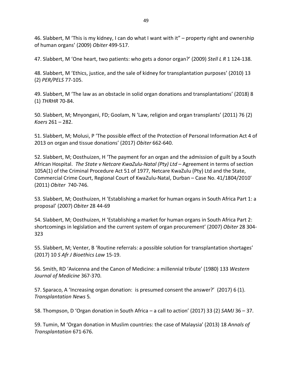46. Slabbert, M 'This is my kidney, I can do what I want with it" – property right and ownership of human organs' (2009) *Obiter* 499-517.

47. Slabbert, M 'One heart, two patients: who gets a donor organ?' (2009) *Stell L R* 1 124-138.

48. Slabbert, M 'Ethics, justice, and the sale of kidney for transplantation purposes' (2010) 13 (2) *PER/PELS* 77-105.

49. Slabbert, M 'The law as an obstacle in solid organ donations and transplantations' (2018) 8 (1) *THRHR* 70-84.

50. Slabbert, M; Mnyongani, FD; Goolam, N 'Law, religion and organ transplants' (2011) 76 (2) *Koers* 261 – 282.

51. Slabbert, M; Molusi, P 'The possible effect of the Protection of Personal Information Act 4 of 2013 on organ and tissue donations' (2017) *Obiter* 662-640.

52. Slabbert, M; Oosthuizen, H 'The payment for an organ and the admission of guilt by a South African Hospital. *The State v Netcare KwaZulu-Natal (Pty) Ltd* – Agreement in terms of section 105A(1) of the Criminal Procedure Act 51 of 1977, Netcare KwaZulu (Pty) Ltd and the State, Commercial Crime Court, Regional Court of KwaZulu-Natal, Durban – Case No. 41/1804/2010' (2011) *Obiter* 740-746.

53. Slabbert, M; Oosthuizen, H 'Establishing a market for human organs in South Africa Part 1: a proposal' (2007) *Obiter* 28 44-69

54. Slabbert, M; Oosthuizen, H 'Establishing a market for human organs in South Africa Part 2: shortcomings in legislation and the current system of organ procurement' (2007) *Obiter* 28 304- 323

55. Slabbert, M; Venter, B 'Routine referrals: a possible solution for transplantation shortages' (2017) 10 *S Afr J Bioethics Law* 15-19.

56. Smith, RD 'Avicenna and the Canon of Medicine: a millennial tribute' (1980) 133 *Western Journal of Medicine* 367-370.

57. Sparaco, A 'Increasing organ donation: is presumed consent the answer?' (2017) 6 (1). *Transplantation News* 5*.*

58. Thompson, D 'Organ donation in South Africa – a call to action' (2017) 33 (2) *SAMJ* 36 – 37.

59. Tumin, M 'Organ donation in Muslim countries: the case of Malaysia' (2013) 18 *Annals of Transplantation* 671-676.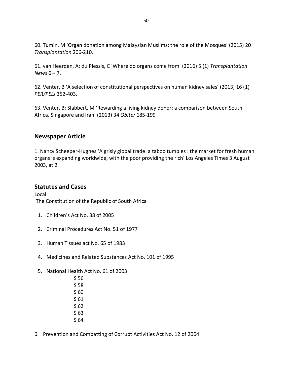60. Tumin, M 'Organ donation among Malaysian Muslims: the role of the Mosques' (2015) 20 *Transplantation* 206-210.

61. van Heerden, A; du Plessis, C 'Where do organs come from' (2016) 5 (1) *Transplantation News* 6 – 7.

62. Venter, B 'A selection of constitutional perspectives on human kidney sales' (2013) 16 (1) *PER/PELJ* 352-403.

63. Venter, B; Slabbert, M 'Rewarding a living kidney donor: a comparison between South Africa, Singapore and Iran' (2013) 34 *Obiter* 185-199

## **Newspaper Article**

1. Nancy Scheeper-Hughes 'A grisly global trade: a taboo tumbles : the market for fresh human organs is expanding worldwide, with the poor providing the rich' Los Angeles Times 3 August 2003, at 2.

## **Statutes and Cases**

Local The Constitution of the Republic of South Africa

- 1. Children's Act No. 38 of 2005
- 2. Criminal Procedures Act No. 51 of 1977
- 3. Human Tissues act No. 65 of 1983
- 4. Medicines and Related Substances Act No. 101 of 1995
- 5. National Health Act No. 61 of 2003
	- S 56 S 58 S 60 S 61 S 62 S 63 S 64
- 6. Prevention and Combatting of Corrupt Activities Act No. 12 of 2004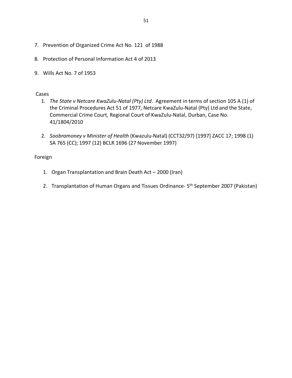- 7. Prevention of Organized Crime Act No. 121 of 1988
- 8. Protection of Personal Information Act 4 of 2013
- 9. Wills Act No. 7 of 1953

#### Cases

- 1. *The State v Netcare KwaZulu-Natal (Pty) Ltd*. Agreement in terms of section 105 A (1) of the Criminal Procedures Act 51 of 1977, Netcare KwaZulu-Natal (Pty) Ltd and the State, Commercial Crime Court, Regional Court of KwaZulu-Natal, Durban, Case No. 41/1804/2010
- 2. *Soobramoney v Minister of Health* (Kwazulu-Natal) (CCT32/97) [1997] ZACC 17; 1998 (1) SA 765 (CC); 1997 (12) BCLR 1696 (27 November 1997)

#### Foreign

- 1. Organ Transplantation and Brain Death Act 2000 (Iran)
- 2. Transplantation of Human Organs and Tissues Ordinance- 5<sup>th</sup> September 2007 (Pakistan)